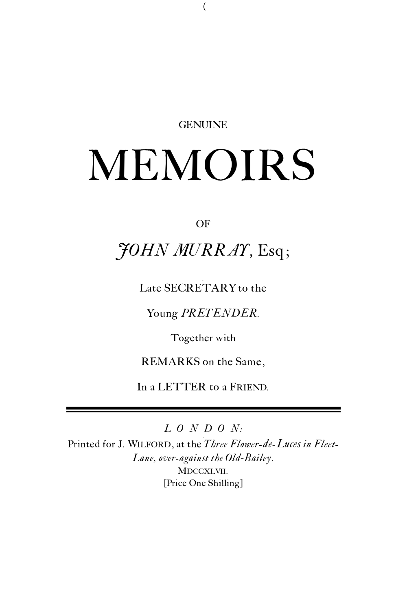#### **GENUINE**

# MEMOIRS

#### OF

## *JOHN MURRAY,* Esq;

Late SECRETARY to the

Young *PRETENDER.*

Together with

REMARKS on the Same,

In a LETTER to a FRIEND*.*

*L O N D O N:*

Printed for J. WILFORD, at the *Three Flower-de-Luces in Fleet-Lane, over-against the Old*-*Bailey*. MDCCXLVII. [Price One Shilling]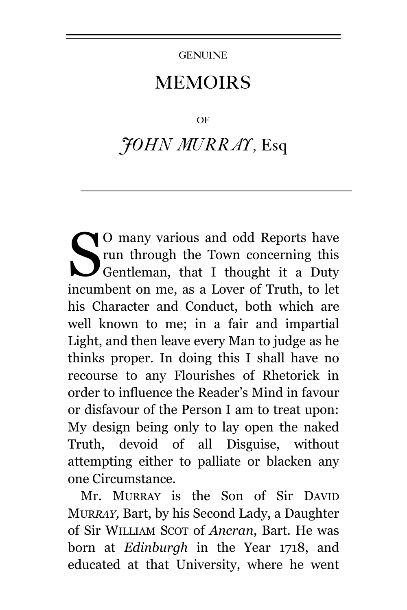#### **GENUINE**

### MEMOIRS

#### OF

## *JOHN MURRAY,* Esq

O many various and odd Reports have run through the Town concerning this Gentleman, that I thought it a Duty incumbent on me, as a Lover of Truth, to let his Character and Conduct, both which are well known to me; in a fair and impartial Light, and then leave every Man to judge as he thinks proper. In doing this I shall have no recourse to any Flourishes of Rhetorick in order to influence the Reader's Mind in favour or disfavour of the Person I am to treat upon: My design being only to lay open the naked Truth, devoid of all Disguise, without attempting either to palliate or blacken any one Circumstance. S

Mr. MURRAY is the Son of Sir DAVID MUR*RAY,* Bart, by his Second Lady, a Daughter of Sir WILLIAM SCOT of *Ancran*, Bart. He was born at *Edinburgh* in the Year 1718, and educated at that University, where he went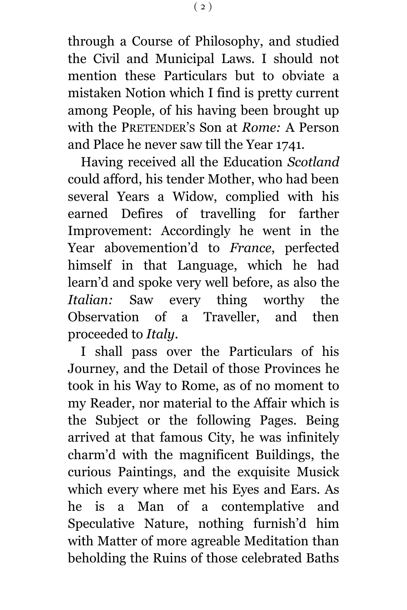through a Course of Philosophy, and studied the Civil and Municipal Laws. I should not mention these Particulars but to obviate a mistaken Notion which I find is pretty current among People, of his having been brought up with the PRETENDER'S Son at *Rome:* A Person and Place he never saw till the Year 1741*.*

Having received all the Education *Scotland* could afford, his tender Mother, who had been several Years a Widow, complied with his earned Defires of travelling for farther Improvement: Accordingly he went in the Year abovemention'd to *France*, perfected himself in that Language, which he had learn'd and spoke very well before, as also the *Italian:* Saw every thing worthy the Observation of a Traveller, and then proceeded to *Italy*.

I shall pass over the Particulars of his Journey, and the Detail of those Provinces he took in his Way to Rome, as of no moment to my Reader, nor material to the Affair which is the Subject or the following Pages. Being arrived at that famous City, he was infinitely charm'd with the magnificent Buildings, the curious Paintings, and the exquisite Musick which every where met his Eyes and Ears. As he is a Man of a contemplative and Speculative Nature, nothing furnish'd him with Matter of more agreable Meditation than beholding the Ruins of those celebrated Baths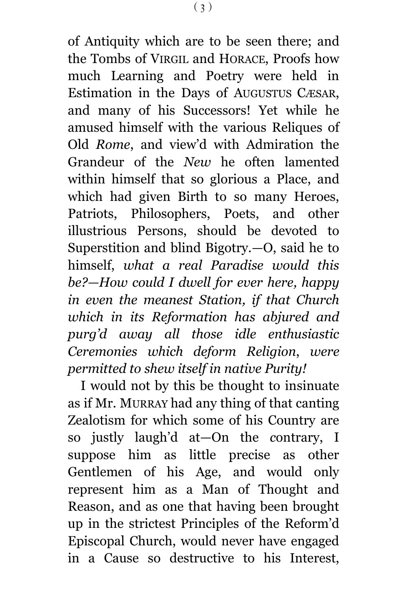of Antiquity which are to be seen there; and the Tombs of VIRGIL and HORACE, Proofs how much Learning and Poetry were held in Estimation in the Days of AUGUSTUS CÆSAR, and many of his Successors! Yet while he amused himself with the various Reliques of Old *Rome*, and view'd with Admiration the Grandeur of the *New* he often lamented within himself that so glorious a Place, and which had given Birth to so many Heroes, Patriots, Philosophers, Poets, and other illustrious Persons, should be devoted to Superstition and blind Bigotry.—O, said he to himself, *what a real Paradise would this be?—How could I dwell for ever here, happy in even the meanest Station, if that Church which in its Reformation has abjured and purg'd away all those idle enthusiastic Ceremonies which deform Religion*, *were permitted to shew itself in native Purity!*

I would not by this be thought to insinuate as if Mr. MURRAY had any thing of that canting Zealotism for which some of his Country are so justly laugh'd at—On the *c*ontrary, I suppose him as little precise as other Gentlemen of his Age, and would only represent him as a Man of Thought and Reason, and as one that having been brought up in the strictest Principles of the Reform'd Episcopal Church, would never have engaged in a Cause so destructive to his Interest,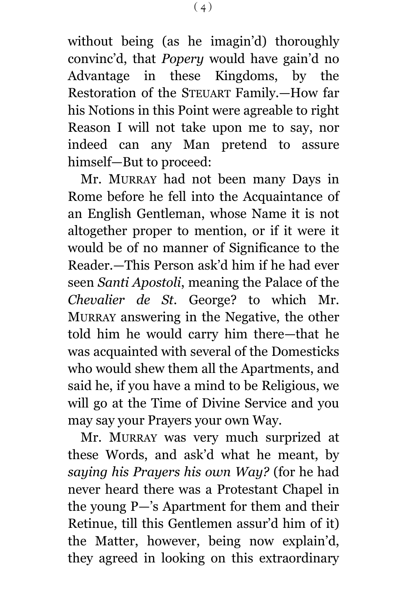without being (as he imagin'd) thoroughly convinc'd, that *Popery* would have gain'd no Advantage in these Kingdoms, by the Restoration of the STEUART Family.—How far his Notions in this Point were agreable to right Reason I will not take upon me to say, nor indeed can any Man pretend to assure himself—But to proceed:

Mr. MURRAY had not been many Days in Rome before he fell into the Acquaintance of an English Gentleman, whose Name it is not altogether proper to mention, or if it were it would be of no manner of Significance to the Reader.—This Person ask'd him if he had ever seen *Santi Apostoli*, meaning the Palace of the *Chevalier de St.* George? to which Mr. MURRAY answering in the Negative, the other told him he would carry him there—that he was acquainted with several of the Domesticks who would shew them all the Apartments, and said he, if you have a mind to be Religious, we will go at the Time of Divine Service and you may say your Prayers your own Way.

Mr. MURRAY was very much surprized at these Words, and ask'd what he meant, by *saying his Prayers his own Way?* (for he had never heard there was a Protestant Chapel in the young P—'s Apartment for them and their Retinue, till this Gentlemen assur'd him of it) the Matter, however, being now explain'd, they agreed in looking on this extraordinary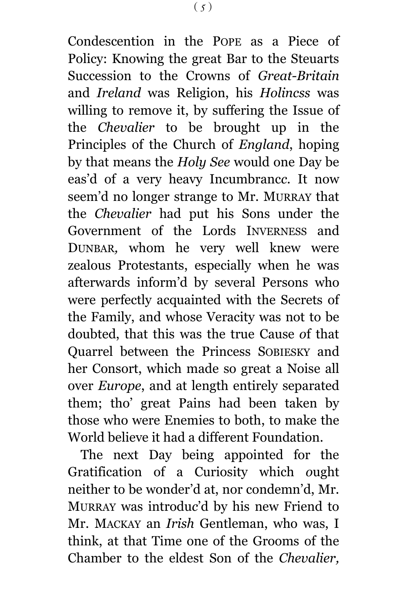Condescention in the POPE as a Piece of Policy: Knowing the great Bar to the Steuarts Succession to the Crowns of *Great-Britain* and *Ireland* was Religion, his *Holincss* was willing to remove it, by suffering the Issue of the *Chevalier* to be brought up in the Principles of the Church of *England*, hoping by that means the *Holy See* would one Day be eas'd of a very heavy Incumbranc*c*. It now seem'd no longer strange to Mr. MURRAY that the *Chevalier* had put his Sons under the Government of the Lords INVERNESS and DUNBAR*,* whom he very well knew were zealous Protestants, especially when he was afterwards inform'd by several Persons who were perfectly acquainted with the Secrets of the Family, and whose Veracity was not to be doubted, that this was the true Cause *o*f that Quarrel between the Princess SOBIESKY and her Consort, which made so great a Noise all over *Europe*, and at length entirely separated them; tho' great Pains had been taken by those who were Enemies to both, to make the World believe it had a different Foundation.

The next Day being appointed for the Gratification of a Curiosity which *o*ught neither to be wonder'd at, nor condemn'd, Mr. MURRAY was introdu*c*'d by his new Friend to Mr. MACKAY an *Irish* Gentleman, who was, I think, at that Time one of the Grooms of the Chamber to the eldest Son of the *Chevalier,*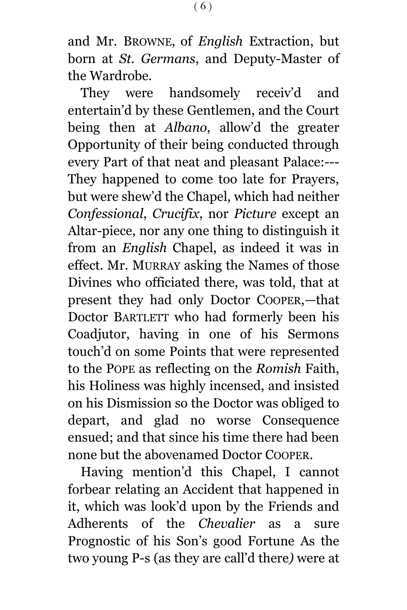and Mr. BROWNE, of *English* Extraction, but born at *St. Germans*, and Deputy-Master of the Wardrobe.

They were handsomely receiv'd and entertain'd by these Gentlemen, and the Court being then at *Albano*, allow'd the greater Opportunity of their being conducted through every Part of that neat and pleasant Palace:--- They happened to come too late for Prayers, but were shew'd the Chapel, which had neither *Confessional*, *Crucifix*, nor *Picture* except an Altar-piece, nor any one thing to distinguish it from an *English* Chapel, as indeed it was in effect. Mr. MURRAY asking the Names of those Divines who officiated there, was told, that at present they had only Doctor COOPER,—that Doctor BARTLETT who had formerly been his Coadjutor, having in one of his Sermons touch'd on some Points that were represented to the POPE as reflecting on the *Romish* Faith, his Holiness was highly incensed, and insisted on his Dismission so the Doctor was obliged to depart, and glad no worse Consequence ensued; and that since his time there had been none but the abovenamed Doctor COOPER.

Having mention'd this Chapel, I cannot forbear relating an Accident that happened in it, which was look'd upon by the Friends and Adherents of the *Chevalier* as a sure Prognostic of his Son's good Fortune As the two young P-s (as they are call'd there*)* were at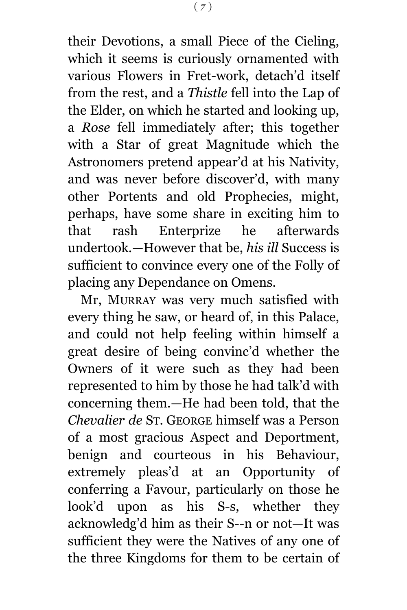their Devotions, a small Piece of the Cieling, which it seems is curiously ornamented with various Flowers in Fret-work, detach'd itself from the rest, and a *Thistle* fell into the Lap of the Elder, on which he started and looking up, a *Rose* fell immediately after; this together with a Star of great Magnitude which the Astronomers pretend appear'd at his Nativity, and was never before discover'd, with many other Portents and old Prophecies, might, perhaps, have some share in exciting him to that rash Enterprize he afterwards undertook.—However that be, *his ill* Success is sufficient to convince every one of the Folly of placing any Dependance on Omens.

Mr, MURRAY was very much satisfied with every thing he saw, or heard of, in this Palace, and could not help feeling within himself a great desire of being convinc'd whether the Owners of it were such as they had been represented to him by those he had talk'd with concerning them.—He had been told, that the *Chevalier de* ST*.* GEORGE himself was a Person of a most gracious Aspect and Deportment, benign and courteous in his Behaviour, extremely pleas'd at an Opportunity of conferring a Favour, particularly on those he look'd upon as his S-s, whether they acknowledg'd him as their S--n or not—It was sufficient they were the Natives of any one of the three Kingdoms for them to be certain of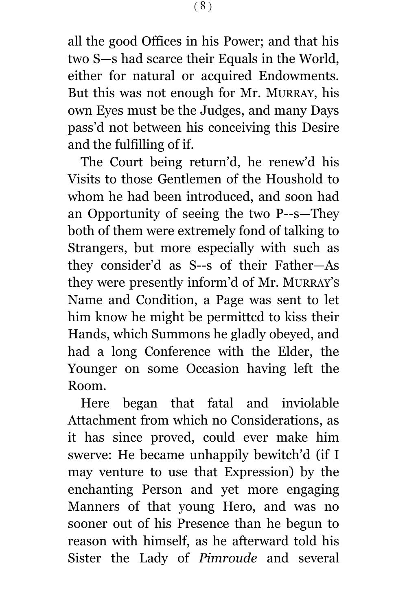all the good Offices in his Power; and that his two S—s had scarce their Equals in the World, either for natural or acquired Endowments. But this was not enough for Mr. MURRAY, his own Eyes must be the Judges, and many Days pass'd not between his conceiving this Desire and the fulfilling of if.

The Court being return'd, he renew'd his Visits to those Gentlemen of the Houshold to whom he had been introduced, and soon had an Opportunity of seeing the two P--s—They both of them were extremely fond of talking to Strangers, but more especially with such as they consider'd as S--s of their Father—As they were presently inform'd of Mr. MURRAY'S Name and Condition, a Page was sent to let him know he might be permittcd to kiss their Hands, which Summons he gladly obeyed, and had a long Conference with the Elder, the Younger on some Occasion having left the Room.

Here began that fatal and inviolable Attachment from which no Considerations, as it has since proved, could ever make him swerve: He became unhappily bewitch'd (if I may venture to use that Expression) by the enchanting Person and yet more engaging Manners of that young Hero, and was no sooner out of his Presence than he begun to reason with himself, as he afterward told his Sister the Lady of *Pimroude* and several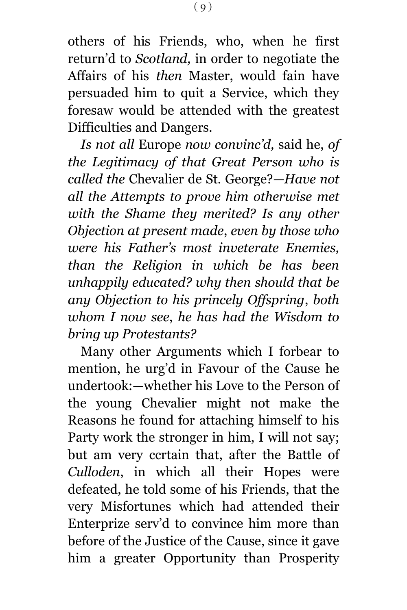others of his Friends, who, when he first return'd to *Scotland,* in order to negotiate the Affairs of his *then* Master, would fain have persuaded him to quit a Service, which they foresaw would be attended with the greatest Difficulties and Dangers.

*Is not all* Europe *now convinc'd,* said he, *of the Legitimacy of that Great Person who is called the* Chevalier de St. George?*—Have not all the Attempts to prove him otherwise met with the Shame they merited? Is any other Objection at present made*, *even by those who were his Father's most inveterate Enemies, than the Religion in which be has been unhappily educated? why then should that be any Objection to his princely Offspring*, *both whom I now see*, *he has had the Wisdom to bring up Protestants?*

Many other Arguments which I forbear to mention, he urg'd in Favour of the Cause he undertook:—whether his Love to the Person of the young Chevalier might not make the Reasons he found for attaching himself to his Party work the stronger in him, I will not say; but am very ccrtain that, after the Battle of *Culloden*, in which all their Hopes were defeated, he told some of his Friends, that the very Misfortunes which had attended their Enterprize serv'd to convince him more than before of the Justice of the Cause, since it gave him a greater Opportunity than Prosperity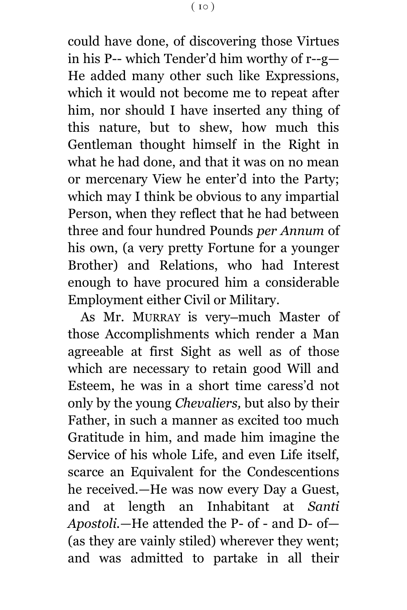could have done, of discovering those Virtues in his P-- which Tender'd him worthy of r--g— He added many other such like Expressions, which it would not become me to repeat after him, nor should I have inserted any thing of this nature, but to shew, how much this Gentleman thought himself in the Right in what he had done, and that it was on no mean or mercenary View he enter'd into the Party; which may I think be obvious to any impartial Person, when they reflect that he had between three and four hundred Pounds *per Annum* of his own, (a very pretty Fortune for a younger Brother) and Relations, who had Interest enough to have procured him a considerable Employment either Civil or Military.

As Mr. MURRAY is very-much Master of those Accomplishments which render a Man agreeable at first Sight as well as of those which are necessary to retain good Will and Esteem, he was in a short time caress'd not only by the young *Chevaliers,* but also by their Father, in such a manner as excited too much Gratitude in him, and made him imagine the Service of his whole Life, and even Life itself, scarce an Equivalent for the Condescentions he received.—He was now every Day a Guest, and at length an Inhabitant at *Santi Apostoli.—*He attended the P- of - and D- of— (as they are vainly stiled) wherever they went; and was admitted to partake in all their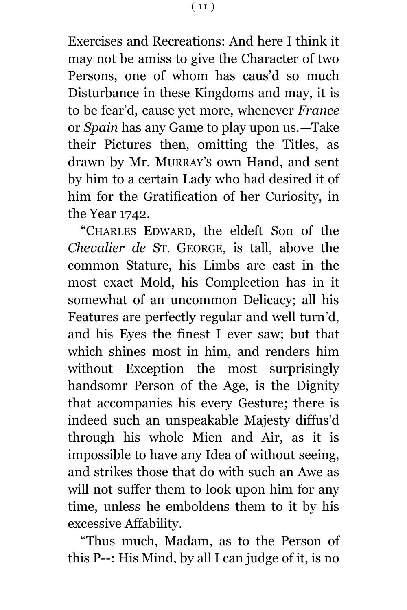Exercises and Recreations: And here I think it may not be amiss to give the Character of two Persons, one of whom has caus'd so much Disturbance in these Kingdoms and may, it is to be fear'd, cause yet more, whenever *France* or *Spain* has any Game to play upon us.—Take their Pictures then, omitting the Titles, as drawn by Mr. MURRAY'S own Hand, and sent by him to a certain Lady who had desired it of him for the Gratification of her Curiosity, in the Year 1742.

"CHARLES EDWARD, the eldeft Son of the *Chevalier de* ST. GEORGE, is tall, above the common Stature, his Limbs are cast in the most exact Mold, his Complection has in it somewhat of an uncommon Delicacy; all his Features are perfectly regular and well turn'd, and his Eyes the finest I ever saw; but that which shines most in him, and renders him without Exception the most surprisingly handsomr Person of the Age, is the Dignity that accompanies his every Gesture; there is indeed such an unspeakable Majesty diffus'd through his whole Mien and Air, as it is impossible to have any Idea of without seeing, and strikes those that do with such an Awe as will not suffer them to look upon him for any time, unless he emboldens them to it by his excessive Affability.

"Thus much, Madam, as to the Person of this P--: His Mind, by all I can judge of it, is no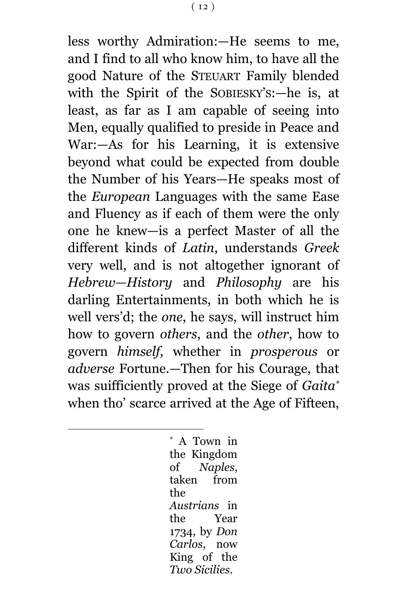less worthy Admiration:—He seems to me, and I find to all who know him, to have all the good Nature of the STEUART Family blended with the Spirit of the SOBIESKY'S:—he is, at least, as far as I am capable of seeing into Men, equally qualified to preside in Peace and War:—As for his Learning, it is extensive beyond what could be expected from double the Number of his Years—He speaks most of the *European* Languages with the same Ease and Fluency as if each of them were the only one he knew—is a perfect Master of all the different kinds of *Latin*, understands *Greek* very well, and is not altogether ignorant of *Hebrew—History* and *Philosophy* are his darling Entertainments, in both which he is well vers'd; the *one*, he says, will instruct him how to govern *others*, and the *other*, how to govern *himself,* whether in *prosperous* or *adverse* Fortune.—Then for his Courage, that was suifficiently proved at the Siege of *Gaita\** when tho' scarce arrived at the Age of Fifteen,

> \* A Town in the Kingdom of *Naples*, taken from the *Austrians* in the Year 1734, by *Don Carlos*, now King of the *Two Sicilies*.

a<br>B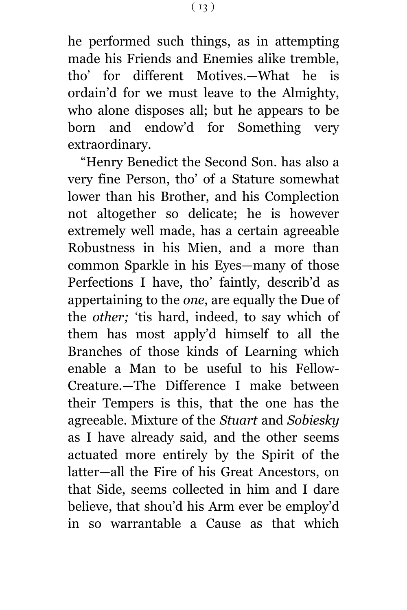he performed such things, as in attempting made his Friends and Enemies alike tremble, tho' for different Motives.—What he is ordain'd for we must leave to the Almighty, who alone disposes all; but he appears to be born and endow'd for Something very extraordinary.

"Henry Benedict the Second Son. has also a very fine Person, tho' of a Stature somewhat lower than his Brother, and his Complection not altogether so delicate; he is however extremely well made, has a certain agreeable Robustness in his Mien, and a more than common Sparkle in his Eyes—many of those Perfections I have, tho' faintly, describ'd as appertaining to the *one*, are equally the Due of the *other;* 'tis hard, indeed, to say which of them has most apply'd himself to all the Branches of those kinds of Learning which enable a Man to be useful to his Fellow-Creature.—The Difference I make between their Tempers is this, that the one has the agreeable. Mixture of the *Stuart* and *Sobiesky*  as I have already said, and the other seems actuated more entirely by the Spirit of the latter—all the Fire of his Great Ancestors, on that Side, seems collected in him and I dare believe, that shou'd his Arm ever be employ'd in so warrantable a Cause as that which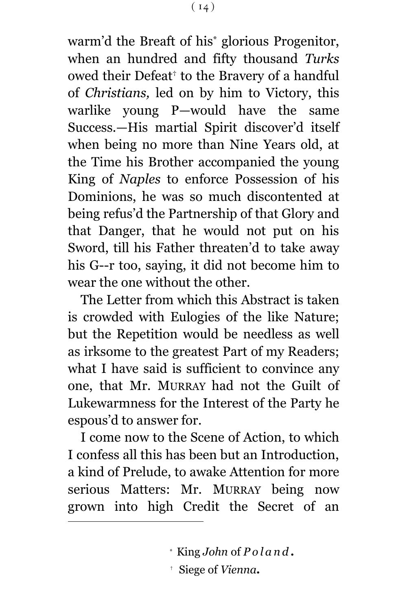$(14)$ 

warm'd the Breaft of his\* glorious Progenitor, when an hundred and fifty thousand *Turks* owed their Defeat† to the Bravery of a handful of *Christians,* led on by him to Victory, this warlike young P—would have the same Success.—His martial Spirit discover'd itself when being no more than Nine Years old, at the Time his Brother accompanied the young King of *Naples* to enforce Possession of his Dominions, he was so much discontented at being refus'd the Partnership of that Glory and that Danger, that he would not put on his Sword, till his Father threaten'd to take away his G--r too, saying, it did not become him to wear the one without the other.

The Letter from which this Abstract is taken is crowded with Eulogies of the like Nature; but the Repetition would be needless as well as irksome to the greatest Part of my Readers; what I have said is sufficient to convince any one, that Mr. MURRAY had not the Guilt of Lukewarmness for the Interest of the Party he espous'd to answer for.

I come now to the Scene of Action, to which I confess all this has been but an Introduction, a kind of Prelude, to awake Attention for more serious Matters: Mr. MURRAY being now grown into high Credit the Secret of an

a<br>B

<sup>\*</sup> King *John* of *P o l a n d .*

<sup>†</sup> Siege of *Vienna.*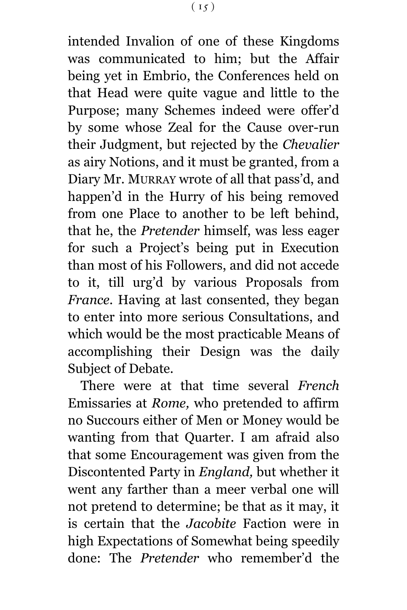intended Invalion of one of these Kingdoms was communicated to him; but the Affair being yet in Embrio, the Conferences held on that Head were quite vague and little to the Purpose; many Schemes indeed were offer'd by some whose Zeal for the Cause over-run their Judgment, but rejected by the *Chevalier* as airy Notions, and it must be granted, from a Diary Mr. MURRAY wrote of all that pass'd, and happen'd in the Hurry of his being removed from one Place to another to be left behind, that he, the *Pretender* himself, was less eager for such a Project's being put in Execution than most of his Followers, and did not accede to it, till urg'd by various Proposals from *France*. Having at last consented, they began to enter into more serious Consultations, and which would be the most practicable Means of accomplishing their Design was the daily Subject of Debate.

There were at that time several *French* Emissaries at *Rome,* who pretended to affirm no Succours either of Men or Money would be wanting from that Quarter. I am afraid also that some Encouragement was given from the Discontented Party in *England,* but whether it went any farther than a meer verbal one will not pretend to determine; be that as it may, it is certain that the *Jacobite* Faction were in high Expectations of Somewhat being speedily done: The *Pretender* who remember'd the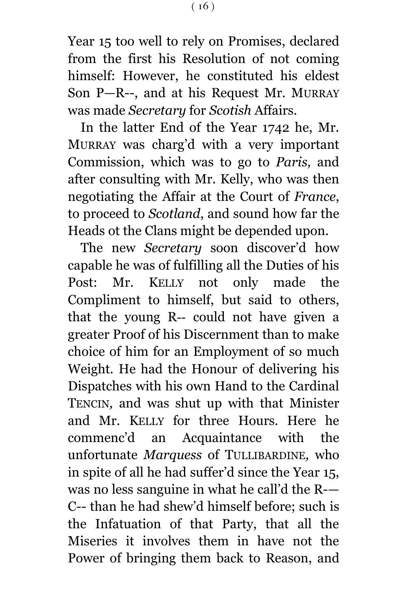Year 15 too well to rely on Promises, declared from the first his Resolution of not coming himself: However, he constituted his eldest Son P—R--, and at his Request Mr. MURRAY was made *Secretary* for *Scotish* Affairs.

In the latter End of the Year 1742 he, Mr. MURRAY was charg'd with a very important Commission, which was to go to *Paris,* and after consulting with Mr. Kelly, who was then negotiating the Affair at the Court of *France*, to proceed to *Scotland*, and sound how far the Heads ot the Clans might be depended upon.

The new *Secretary* soon discover'd how capable he was of fulfilling all the Duties of his Post: Mr. KELLY not only made the Compliment to himself, but said to others, that the young R-- could not have given a greater Proof of his Discernment than to make choice of him for an Employment of so much Weight. He had the Honour of delivering his Dispatches with his own Hand to the Cardinal TENCIN*,* and was shut up with that Minister and Mr. KELLY for three Hours. Here he commenc'd an Acquaintance with the unfortunate *Marquess* of TULLIBARDINE*,* who in spite of all he had suffer'd since the Year 15, was no less sanguine in what he call'd the R-— C-- than he had shew'd himself before; such is the Infatuation of that Party, that all the Miseries it involves them in have not the Power of bringing them back to Reason, and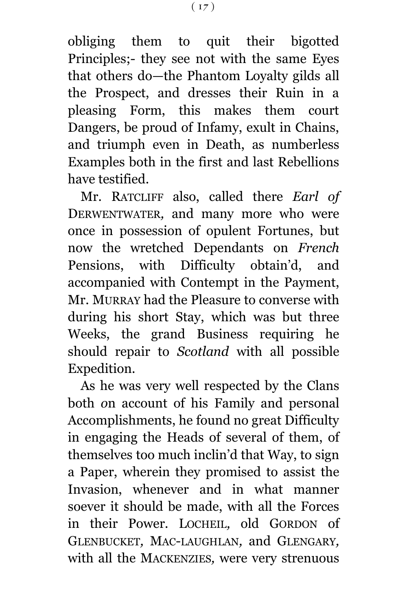obliging them to quit their bigotted Principles;- they see not with the same Eyes that others do—the Phantom Loyalty gilds all the Prospect, and dresses their Ruin in a pleasing Form, this makes them court Dangers, be proud of Infamy, exult in Chains, and triumph even in Death, as numberless Examples both in the first and last Rebellions have testified.

Mr. RATCLIFF also, called there *Earl of* DERWENTWATER*,* and many more who were once in possession of opulent Fortunes, but now the wretched Dependants on *French* Pensions, with Difficulty obtain'd, and accompanied with Contempt in the Payment, Mr. MURRAY had the Pleasure to converse with during his short Stay, which was but three Weeks, the grand Business requiring he should repair to *Scotland* with all possible Expedition.

As he was very well respected by the Clans both *o*n account of his Family and personal Accomplishments, he found no great Difficulty in engaging the Heads of several of them, of themselves too much inclin'd that Way, to sign a Paper, wherein they promised to assist the Invasion, whenever and in what manner soever it should be made, with all the Forces in their Power. LOCHEIL*,* old GORDON of GLENBUCKET*,* MAC-LAUGHLAN*,* and GLENGARY*,*  with all the MACKENZIES*,* were very strenuous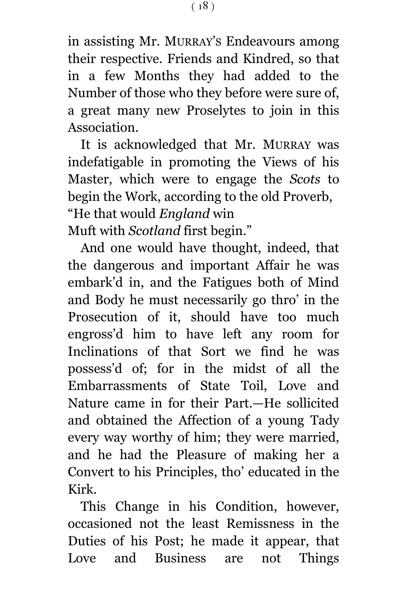in assisting Mr. MURRAY'S Endeavours am*o*ng their respective. Friends and Kindred, so that in a few Months they had added to the Number of those who they before were sure of, a great many new Proselytes to join in this Association.

It is acknowledged that Mr. MURRAY was indefatigable in promoting the Views of his Master, which were to engage the *Scots* to begin the Work, according to the old Proverb, "He that would *England* win Muft with *Scotland* first begin."

And one would have thought, indeed, that the dangerous and important Affair he was embark'd in, and the Fatigues both of Mind and Body he must necessarily go thro' in the Prosecution of it, should have too much engross'd him to have left any room for Inclinations of that Sort we find he was possess'd of; for in the midst of all the Embarrassments of State Toil, Love and Nature came in for their Part.—He sollicited and obtained the Affection of a young Tady every way worthy of him; they were married, and he had the Pleasure of making her a Convert to his Principles, tho' educated in the Kirk.

This Change in his Condition, however, occasioned not the least Remissness in the Duties of his Post; he made it appear, that Love and Business are not Things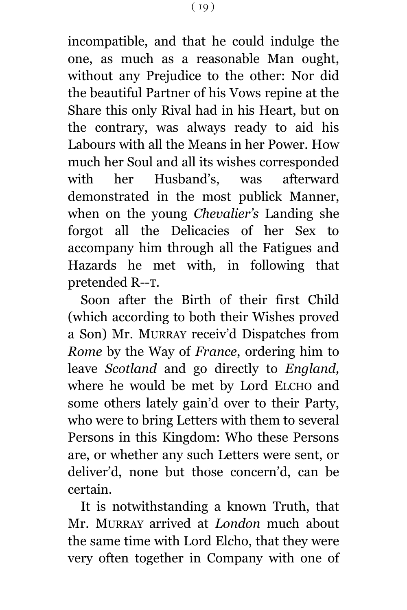incompatible, and that he could indulge the one, as much as a reasonable Man ought, without any Prejudice to the other: Nor did the beautiful Partner of his Vows repine at the Share this only Rival had in his Heart, but on the contrary, was always ready to aid his Labours with all the Means in her Power. How much her Soul and all its wishes corresponded with her Husband's, was afterward demonstrated in the most publick Manner, when on the young *Chevalier's* Landing she forgot all the Delicacies of her Sex to accompany him through all the Fatigues and Hazards he met with, in following that pretended R--T.

Soon after the Birth of their first Child (which according to both their Wishes prov*e*d a Son) Mr. MURRAY receiv'd Dispatches from *Rome* by the Way of *France*, ordering him to leave *Scotland* and go directly to *England,* where he would be met by Lord ELCHO and some others lately gain'd over to their Party, who were to bring Letters with them to several Persons in this Kingdom: Who these Persons are, or whether any such Letters were sent, or deliver'd, none but those concern'd, can be certain.

It is notwithstanding a known Truth, that Mr. MURRAY arrived at *London* much about the same time with Lord El*c*ho, that they were very often together in Company with one of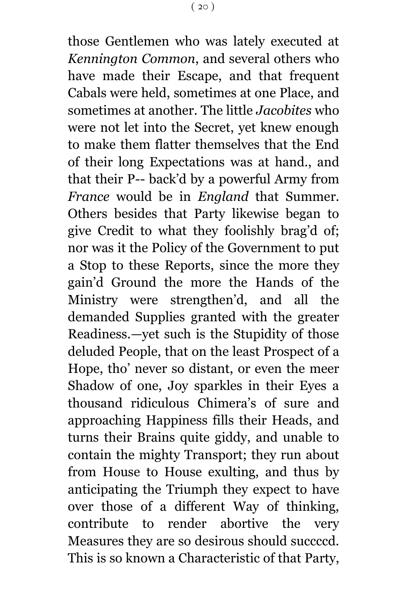those Gentlemen who was lately executed at *Kennington Common*, and several others who have made their Escape, and that frequent Cabals were held, sometimes at one Place, and sometimes at another. The little *Jacobites* who were not let into the Secret, yet knew enough to make them flatter themselves that the End of their long Expectations was at hand., and that their P-- back'd by a powerful Army from *France* would be in *England* that Summer. Others besides that Party likewise began to give Credit to what they foolishly brag'd of; nor was it the Policy of the Government to put a Stop to these Reports, since the more they gain'd Ground the more the Hands of the Ministry were strengthen'd, and all the demanded Supplies granted with the greater Readiness.—yet such is the Stupidity of those deluded People, that on the least Prospect of a Hope, tho' never so distant, or even the meer Shadow of one, Joy sparkles in their Eyes a thousand ridiculous Chimera's of sure and approaching Happiness fills their Heads, and turns their Brains quite giddy, and unable to contain the mighty Transport; they run about from House to House exulting, and thus by anticipating the Triumph they expect to have over those of a different Way of thinking, contribute to render abortive the very Measures they are so desirous should succccd. This is so known a Characteristic of that Party,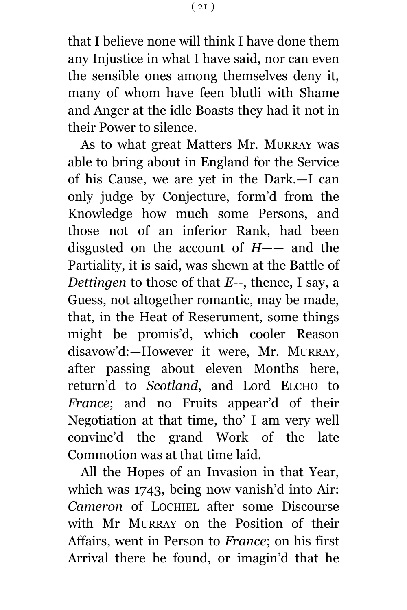that I believe none will think I have done them any Injustice in what I have said, nor can even the sensible ones among themselves deny it, many of whom have feen blutli with Shame and Anger at the idle Boasts they had it not in their Power to silence.

As to what great Matters Mr. MURRAY was able to bring about in England for the Service of his Cause, we are yet in the Dark.—I can only judge by Conjecture, form'd from the Knowledge how much some Persons, and those not of an inferior Rank, had been disgusted on the account of *H*—— and the Partiality, it is said, was shewn at the Battle of *Dettingen* to those of that *E--*, thence, I say, a Guess, not altogether romantic, may be made, that, in the Heat of Reserument, some things might be promis'd, which cooler Reason disavow'd:—However it were, Mr. MURRAY, after passing about eleven Months here, return'd t*o Scotland*, and Lord ELCHO to *France*; and no Fruits appear'd of their Negotiation at that time, tho' I am very well convinc'd the grand Work of the late Commotion was at that time laid.

All the Hopes of an Invasion in that Year, which was 1743, being now vanish'd into Air: *Cameron* of LOCHIEL after some Discourse with Mr MURRAY on the Position of their Affairs, went in Person to *France*; on his first Arrival there he found, or imagin'd that he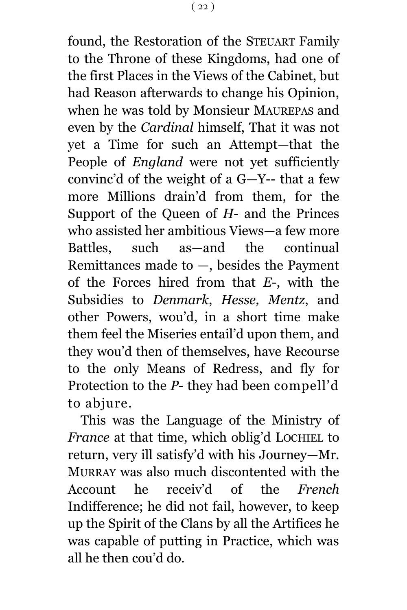found, the Restoration of the STEUART Family to the Throne of these Kingdoms, had one of the first Places in the Views of the Cabinet, but had Reason afterwards to change his Opinion, when he was told by Monsieur MAUREPAS and even by the *Cardinal* himself, That it was not yet a Time for such an Attempt—that the People of *England* were not yet sufficiently convinc'd of the weight of a G—Y-- that a few more Millions drain'd from them, for the Support of the Queen of *H*- and the Princes who assisted her ambitious Views—a few more Battles, such as—and the continual Remittances made to  $-$ , besides the Payment of the Forces hired from that *E*-, with the Subsidies to *Denmark*, *Hesse, Mentz*, and other Powers, wou'd, in a short time make them feel the Miseries entail'd upon them, and they wou'd then of themselves, have Recourse to the *o*nly Means of Redress, and fly for Protection to the *P*- they had been compell'd to abjure.

This was the Language of the Ministry of *France* at that time, which oblig'd LOCHIEL to return, very ill satisfy'd with his Journey—Mr. MURRAY was also much discontented with the Account he receiv'd of the *French* Indifference; he did not fail, however, to keep up the Spirit of the Clans by all the Artifices he was capable of putting in Practice, which was all he then cou'd do.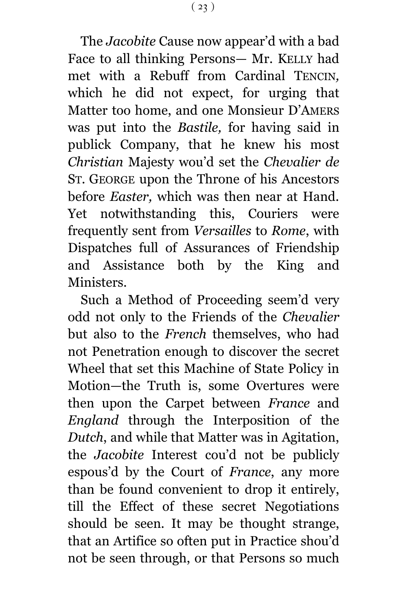The *Jacobite* Cause now appear'd with a bad Face to all thinking Persons— Mr. KELLY had met with a Rebuff from Cardinal TENCIN*,*  which he did not expect, for urging that Matter too home, and one Monsieur D'AMERS was put into the *Bastile,* for having said in publick Company, that he knew his most *Christian* Majesty wou'd set the *Chevalier de* ST. GEORGE upon the Throne of his Ancestors before *Easter,* which was then near at Hand. Yet notwithstanding this, Couriers were frequently sent from *Versailles* to *Rome*, with Dispatches full of Assurances of Friendship and Assistance both by the King and Ministers.

Such a Method of Proceeding seem'd very odd not only to the Friends of the *Chevalier* but also to the *French* themselves, who had not Penetration enough to discover the secret Wheel that set this Machine of State Policy in Motion—the Truth is, some Overtures were then upon the Carpet between *France* and *England* through the Interposition of the *Dutch*, and while that Matter was in Agitation, the *Jacobite* Interest cou'd not be publicly espous'd by the Court of *France*, any more than be found convenient to drop it entirely, till the Effect of these secret Negotiations should be seen. It may be thought strange, that an Artifice so often put in Practice shou'd not be seen through, or that Persons so much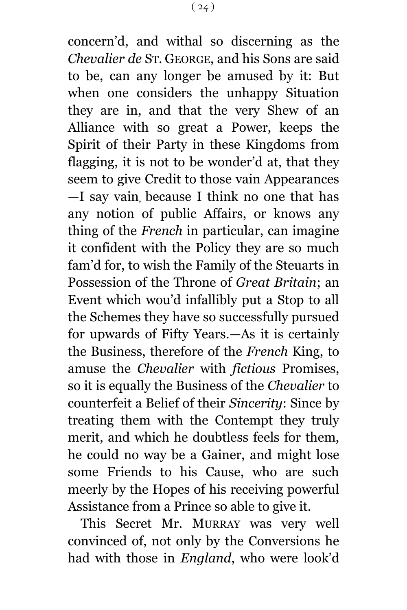concern'd, and withal so discerning as the *Chevalier de* ST. GEORGE, and his Sons are said to be, can any longer be amused by it: But when one considers the unhappy Situation they are in, and that the very Shew of an Alliance with so great a Power, keeps the Spirit of their Party in these Kingdoms from flagging, it is not to be wonder'd at, that they seem to give Credit to those vain Appearances —I say vain, because I think no one that has any notion of public Affairs, or knows any thing of the *French* in particular, can imagine it confident with the Policy they are so much fam'd for, to wish the Family of the Steuarts in Possession of the Throne of *Great Britain*; an Event which wou'd infallibly put a Stop to all the Schemes they have so successfully pursued for upwards of Fifty Years.—As it is certainly the Business, therefore of the *French* King, to amuse the *Chevalier* with *fictious* Promises, so it is equally the Business of the *Chevalier* to counterfeit a Belief of their *Sincerity*: Since by treating them with the Contempt they truly merit, and which he doubtless feels for them, he could no way be a Gainer, and might lose some Friends to his Cause, who are such meerly by the Hopes of his receiving powerful Assistance from a Prince so able to give it.

This Secret Mr. MURRAY was very well convinced of, not only by the Conversions he had with those in *England*, who were look'd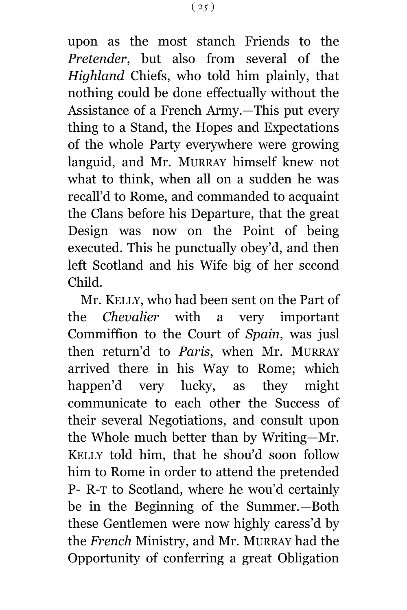upon as the most stanch Friends to the *Pretender*, but also from several of the *Highland* Chiefs, who told him plainly, that nothing could be done effectually without the Assistance of a French Army.—This put every thing to a Stand, the Hopes and Expectations of the whole Party everywhere were growing languid, and Mr. MURRAY himself knew not what to think, when all on a sudden he was recall'd to Rome, and commanded to acquaint the Clans before his Departure, that the great Design was now on the Point of being executed. This he punctually obey'd, and then left Scotland and his Wife big of her sccond Child.

Mr. KELLY, who had been sent on the Part of the *Chevalier* with a very important Commiffion to the Court of *Spain*, was jusl then return'd to *Paris*, when Mr. MURRAY arrived there in his Way to Rome; which happen'd very lucky, as they might communicate to each other the Success of their several Negotiations, and consult upon the Whole much better than by Writing—Mr. KELLY told him, that he shou'd soon follow him to Rome in order to attend the pretended P- R-T to Scotland, where he wou'd certainly be in the Beginning of the Summer.—Both these Gentlemen were now highly caress'd by the *French* Ministry, and Mr. MURRAY had the Opportunity of conferring a great Obligation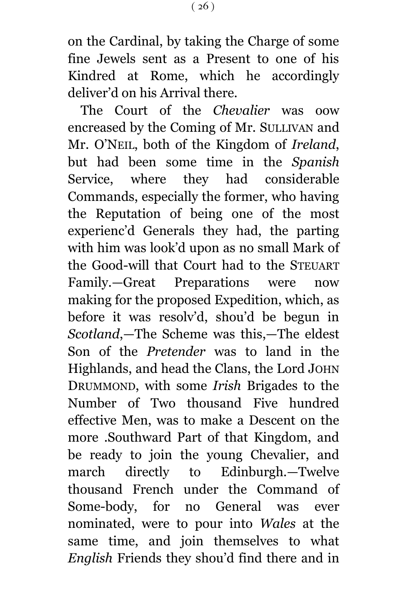on the Cardinal, by taking the Charge of some fine Jewels sent as a Present to one of his Kindred at Rome, which he accordingly deliver'd on his Arrival there.

The Court of the *Chevalier* was oow encreased by the Coming of Mr. SULLIVAN and Mr. O'NEIL, both of the Kingdom of *Ireland*, but had been some time in the *Spanish* Service, where they had considerable Commands, especially the former, who having the Reputation of being one of the most experienc'd Generals they had, the parting with him was look'd upon as no small Mark of the Good-will that Court had to the STEUART Family.—Great Preparations were now making for the proposed Expedition, which, as before it was resolv'd, shou'd be begun in *Scotland*,—The Scheme was this,—The eldest Son of the *Pretender* was to land in the Highlands, and head the Clans, the Lord JOHN DRUMMOND, with some *Irish* Brigades to the Number of Two thousand Five hundred effective Men, was to make a Descent on the more .Southward Part of that Kingdom, and be ready to join the young Chevalier, and march directly to Edinburgh.—Twelve thousand French under the Command of Some-body, for no General was ever nominated, were to pour into *Wales* at the same time, and join themselves to what *English* Friends they shou'd find there and in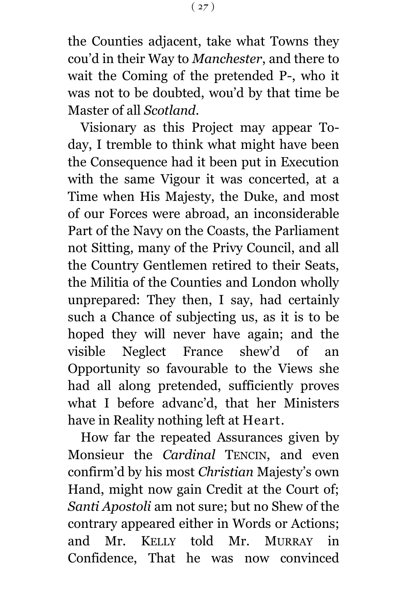the Counties adjacent, take what Towns they cou'd in their Way to *Manchester*, and there to wait the Coming of the pretended P-, who it was not to be doubted, wou'd by that time be Master of all *Scotland*.

Visionary as this Project may appear Today, I tremble to think what might have been the Consequence had it been put in Execution with the same Vigour it was concerted, at a Time when His Majesty, the Duke, and most of our Forces were abroad, an inconsiderable Part of the Navy on the Coasts, the Parliament not Sitting, many of the Privy Council, and all the Country Gentlemen retired to their Seats, the Militia of the Counties and London wholly unprepared: They then, I say, had certainly such a Chance of subjecting us, as it is to be hoped they will never have again; and the visible Neglect France shew'd of an Opportunity so favourable to the Views she had all along pretended, sufficiently proves what I before advanc'd, that her Ministers have in Reality nothing left at Heart.

How far the repeated Assurances given by Monsieur the *Cardinal* TENCIN, and even confirm'd by his most *Christian* Majesty's own Hand, might now gain Credit at the Court of; *Santi Apostoli* am not sure; but no Shew of the contrary appeared either in Words or Actions; and Mr. KELLY told Mr. MURRAY in Confidence, That he was now convinced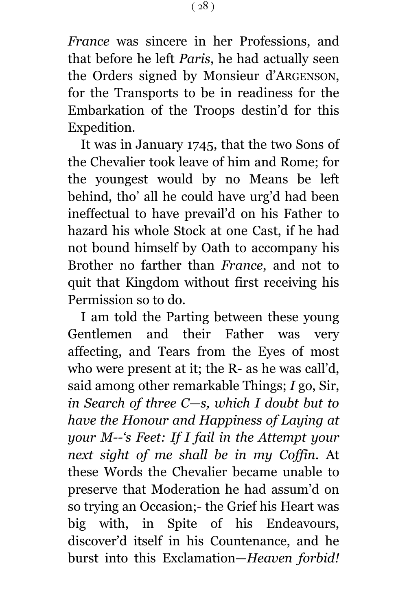*France* was sincere in her Professions, and that before he left *Paris*, he had actually seen the Orders signed by Monsieur d'ARGENSON, for the Transports to be in readiness for the Embarkation of the Troops destin'd for this Expedition.

It was in January 1745, that the two Sons of the Chevalier took leave of him and Rome; for the youngest would by no Means be left behind, tho' all he could have urg'd had been ineffectual to have prevail'd on his Father to hazard his whole Stock at one Cast, if he had not bound himself by Oath to accompany his Brother no farther than *France*, and not to quit that Kingdom without first receiving his Permission so to do.

I am told the Parting between these young Gentlemen and their Father was very affecting, and Tears from the Eyes of most who were present at it; the R- as he was call'd, said among other remarkable Things; *I* go, Sir, *in Search of three C—s, which I doubt but to have the Honour and Happiness of Laying at your M--'s Feet: If I fail in the Attempt your next sight of me shall be in my Coffin.* At these Words the Chevalier became unable to preserve that Moderation he had assum'd on so trying an Occasion;- the Grief his Heart was big with, in Spite of his Endeavours, discover'd itself in his Countenance, and he burst into this Exclamation—*Heaven forbid!*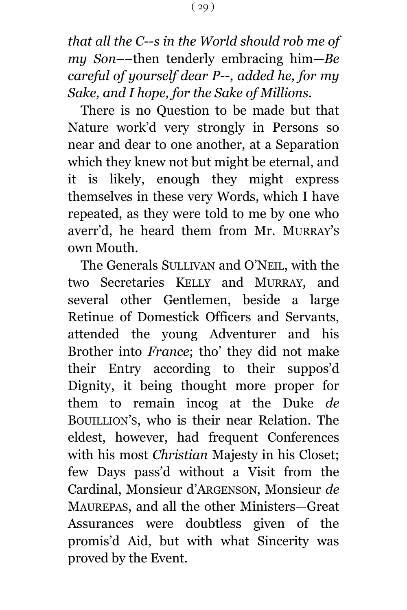*that all the C--s in the World should rob me of my Son*––then tenderly embracing him—*Be careful of yourself dear P--, added he, for my Sake, and I hope, for the Sake of Millions.*

There is no Question to be made but that Nature work'd very strongly in Persons so near and dear to one another, at a Separation which they knew not but might be eternal, and it is likely, enough they might express themselves in these very Words, which I have repeated, as they were told to me by one who averr'd, he heard them from Mr. MURRAY'S own Mouth.

The Generals SULLIVAN and O'NEIL, with the two Secretaries KELLY and MURRAY, and several other Gentlemen, beside a large Retinue of Domestick Officers and Servants, attended the young Adventurer and his Brother into *France*; tho' they did not make their Entry according to their suppos'd Dignity, it being thought more proper for them to remain incog at the Duke *de* BOUILLION'S, who is their near Relation. The eldest, however, had frequent Conferences with his most *Christian* Majesty in his Closet; few Days pass'd without a Visit from the Cardinal, Monsieur d'ARGENSON, Monsieur *de* MAUREPAS, and all the other Ministers—Great Assurances were doubtless given of the promis'd Aid, but with what Sincerity was proved by the Event.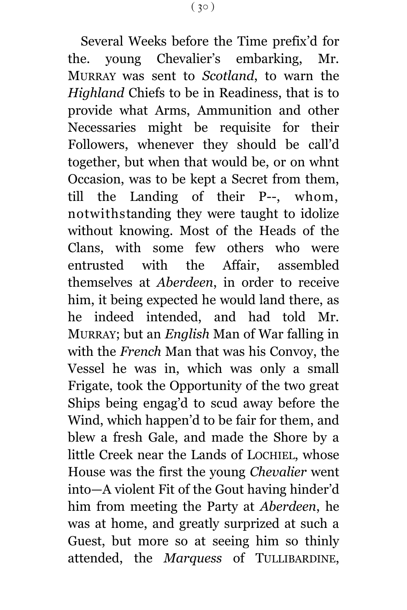Several Weeks before the Time prefix'd for the. young Chevalier's embarking, Mr. MURRAY was sent to *Scotland*, to warn the *Highland* Chiefs to be in Readiness, that is to provide what Arms, Ammunition and other Necessaries might be requisite for their Followers, whenever they should be call'd together, but when that would be, or on whnt Occasion, was to be kept a Secret from them, till the Landing of their P--, whom, notwithstanding they were taught to idolize without knowing. Most of the Heads of the Clans, with some few others who were entrusted with the Affair, assembled themselves at *Aberdeen*, in order to receive him, it being expected he would land there, as he indeed intended, and had told Mr. MURRAY; but an *English* Man of War falling in with the *French* Man that was his Convoy, the Vessel he was in, which was only a small Frigate, took the Opportunity of the two great Ships being engag'd to scud away before the Wind, which happen'd to be fair for them, and blew a fresh Gale, and made the Shore by a little Creek near the Lands of LOCHIEL, whose House was the first the young *Chevalier* went into—A violent Fit of the Gout having hinder'd him from meeting the Party at *Aberdeen*, he was at home, and greatly surprized at such a Guest, but more so at seeing him so thinly attended, the *Marquess* of TULLIBARDINE,

 $(30)$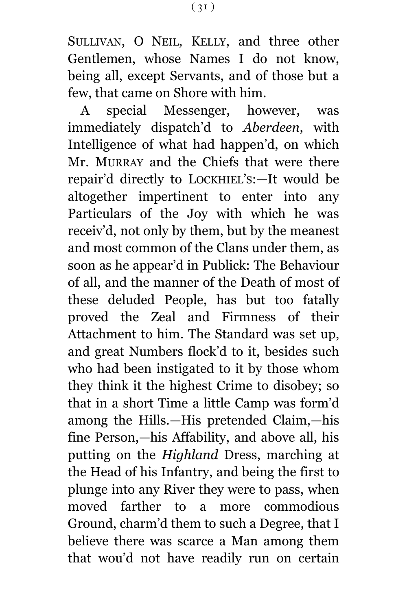SULLIVAN, O NEIL, KELLY, and three other Gentlemen, whose Names I do not know, being all, except Servants, and of those but a few, that came on Shore with him.

A special Messenger, however, was immediately dispatch'd to *Aberdeen*, with Intelligence of what had happen'd, on which Mr. MURRAY and the Chiefs that were there repair'd directly to LOCKHIEL'S:—It would be altogether impertinent to enter into any Particulars of the Joy with which he was receiv'd, not only by them, but by the meanest and most common of the Clans under them, as soon as he appear'd in Publick: The Behaviour of all, and the manner of the Death of most of these deluded People, has but too fatally proved the Zeal and Firmness of their Attachment to him. The Standard was set up, and great Numbers flock'd to it, besides such who had been instigated to it by those whom they think it the highest Crime to disobey; so that in a short Time a little Camp was form'd among the Hills.—His pretended Claim,—his fine Person,—his Affability, and above all, his putting on the *Highland* Dress, marching at the Head of his Infantry, and being the first to plunge into any River they were to pass, when moved farther to a more commodious Ground, charm'd them to such a Degree, that I believe there was scarce a Man among them that wou'd not have readily run on certain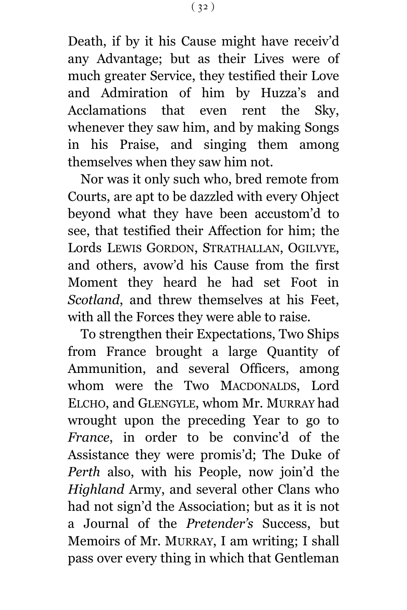Death, if by it his Cause might have receiv'd any Advantage; but as their Lives were of much greater Service, they testified their Love and Admiration of him by Huzza's and Acclamations that even rent the Sky, whenever they saw him, and by making Songs in his Praise, and singing them among themselves when they saw him not.

Nor was it only such who, bred remote from Courts, are apt to be dazzled with every Ohject beyond what they have been accustom'd to see, that testified their Affection for him; the Lords LEWIS GORDON, STRATHALLAN, OGILVYE, and others, avow'd his Cause from the first Moment they heard he had set Foot in *Scotland*, and threw themselves at his Feet, with all the Forces they were able to raise.

To strengthen their Expectations, Two Ships from France brought a large Quantity of Ammunition, and several Officers, among whom were the Two MACDONALDS, Lord ELCHO, and GLENGYLE, whom Mr. MURRAY had wrought upon the preceding Year to go to *France*, in order to be convinc'd of the Assistance they were promis'd; The Duke of *Perth* also, with his People, now join'd the *Highland* Army, and several other Clans who had not sign'd the Association; but as it is not a Journal of the *Pretender's* Success, but Memoirs of Mr. MURRAY, I am writing; I shall pass over every thing in which that Gentleman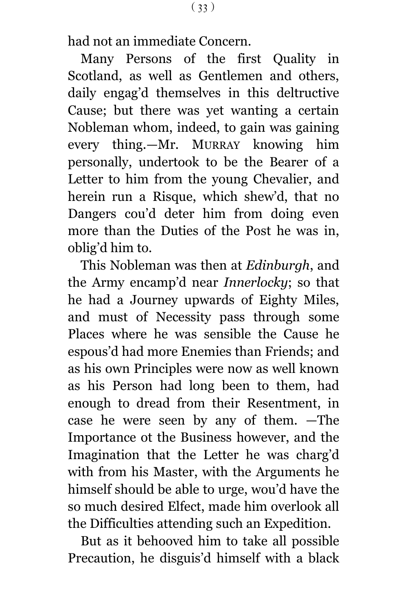had not an immediate Concern.

Many Persons of the first Quality in Scotland, as well as Gentlemen and others, daily engag'd themselves in this deltructive Cause; but there was yet wanting a certain Nobleman whom, indeed, to gain was gaining every thing.—Mr. MURRAY knowing him personally, undertook to be the Bearer of a Letter to him from the young Chevalier, and herein run a Risque, which shew'd, that no Dangers cou'd deter him from doing even more than the Duties of the Post he was in, oblig'd him to.

This Nobleman was then at *Edinburgh*, and the Army encamp'd near *Innerlocky*; so that he had a Journey upwards of Eighty Miles, and must of Necessity pass through some Places where he was sensible the Cause he espous'd had more Enemies than Friends; and as his own Principles were now as well known as his Person had long been to them, had enough to dread from their Resentment, in case he were seen by any of them. —The Importance ot the Business however, and the Imagination that the Letter he was charg'd with from his Master, with the Arguments he himself should be able to urge, wou'd have the so much desired Elfect, made him overlook all the Difficulties attending such an Expedition.

But as it behooved him to take all possible Precaution, he disguis'd himself with a black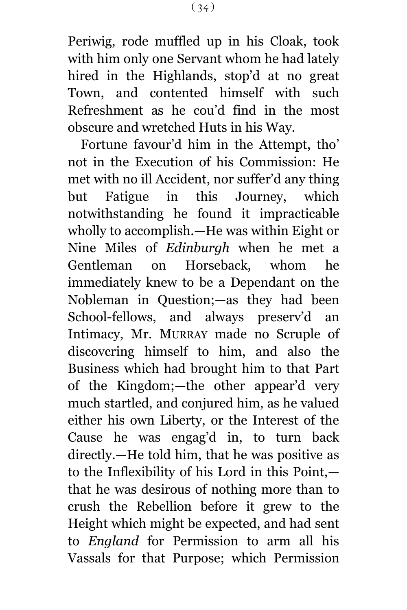Periwig, rode muffled up in his Cloak, took with him only one Servant whom he had lately hired in the Highlands, stop'd at no great Town, and contented himself with such Refreshment as he cou'd find in the most obscure and wretched Huts in his Way.

Fortune favour'd him in the Attempt, tho' not in the Execution of his Commission: He met with no ill Accident, nor suffer'd any thing but Fatigue in this Journey, which notwithstanding he found it impracticable wholly to accomplish.—He was within Eight or Nine Miles of *Edinburgh* when he met a Gentleman on Horseback, whom he immediately knew to be a Dependant on the Nobleman in Question;—as they had been School-fellows, and always preserv'd an Intimacy, Mr. MURRAY made no Scruple of discovcring himself to him, and also the Business which had brought him to that Part of the Kingdom;—the other appear'd very much startled, and conjured him, as he valued either his own Liberty, or the Interest of the Cause he was engag'd in, to turn back directly.—He told him, that he was positive as to the Inflexibility of his Lord in this Point, that he was desirous of nothing more than to crush the Rebellion before it grew to the Height which might be expected, and had sent to *England* for Permission to arm all his Vassals for that Purpose; which Permission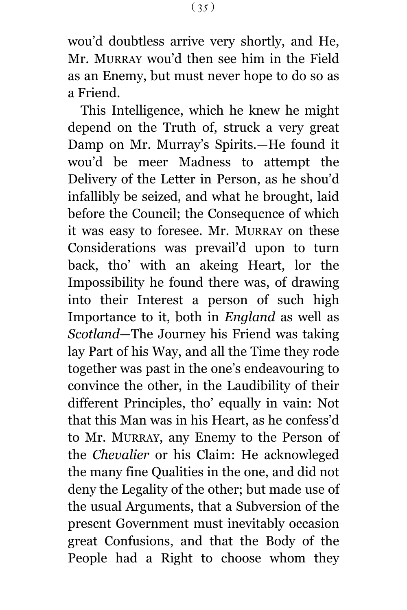wou'd doubtless arrive very shortly, and He, Mr. MURRAY wou'd then see him in the Field as an Enemy, but must never hope to do so as a Friend.

This Intelligence, which he knew he might depend on the Truth of, struck a very great Damp on Mr. Murray's Spirits.—He found it wou'd be meer Madness to attempt the Delivery of the Letter in Person, as he shou'd infallibly be seized, and what he brought, laid before the Council; the Consequcnce of which it was easy to foresee. Mr. MURRAY on these Considerations was prevail'd upon to turn back, tho' with an akeing Heart, lor the Impossibility he found there was, of drawing into their Interest a person of such high Importance to it, both in *England* as well as *Scotland*—The Journey his Friend was taking lay Part of his Way, and all the Time they rode together was past in the one's endeavouring to convince the other, in the Laudibility of their different Principles, tho' equally in vain: Not that this Man was in his Heart, as he confess'd to Mr. MURRAY, any Enemy to the Person of the *Chevalier* or his Claim: He acknowleged the many fine Qualities in the one, and did not deny the Legality of the other; but made use of the usual Arguments, that a Subversion of the prescnt Government must inevitably occasion great Confusions, and that the Body of the People had a Right to choose whom they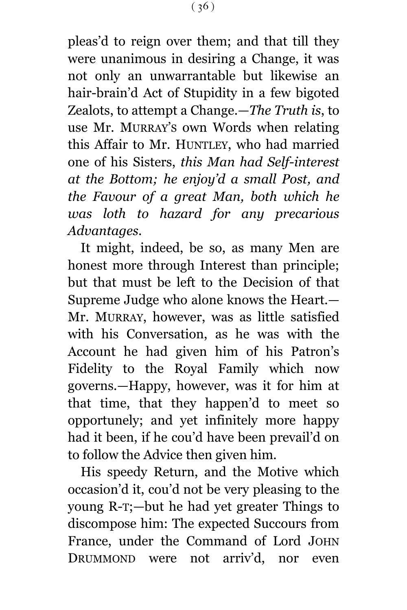pleas'd to reign over them; and that till they were unanimous in desiring a Change, it was not only an unwarrantable but likewise an hair-brain'd Act of Stupidity in a few bigoted Zealots, to attempt a Change.—*The Truth is*, to use Mr. MURRAY'S own Words when relating this Affair to Mr. HUNTLEY, who had married one of his Sisters, *this Man had Self-interest at the Bottom; he enjoy'd a small Post, and the Favour of a great Man, both which he was loth to hazard for any precarious Advantages.*

It might, indeed, be so, as many Men are honest more through Interest than principle; but that must be left to the Decision of that Supreme Judge who alone knows the Heart.— Mr. MURRAY, however, was as little satisfied with his Conversation, as he was with the Account he had given him of his Patron's Fidelity to the Royal Family which now governs.—Happy, however, was it for him at that time, that they happen'd to meet so opportunely; and yet infinitely more happy had it been, if he cou'd have been prevail'd on to follow the Advice then given him.

His speedy Return, and the Motive which occasion'd it, cou'd not be very pleasing to the young R-T;—but he had yet greater Things to discompose him: The expected Succours from France, under the Command of Lord JOHN DRUMMOND were not arriv'd, nor even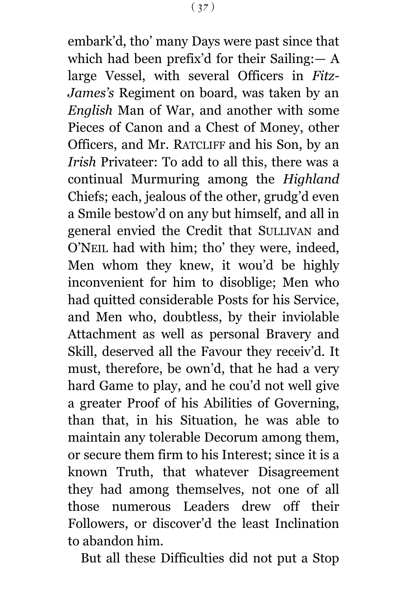embark'd, tho' many Days were past since that which had been prefix'd for their Sailing:  $- A$ large Vessel, with several Officers in *Fitz-James's* Regiment on board, was taken by an *English* Man of War, and another with some Pieces of Canon and a Chest of Money, other Officers, and Mr. RATCLIFF and his Son, by an *Irish* Privateer: To add to all this, there was a continual Murmuring among the *Highland* Chiefs; each, jealous of the other, grudg'd even a Smile bestow'd on any but himself, and all in general envied the Credit that SULLIVAN and O'NEIL had with him; tho' they were, indeed, Men whom they knew, it wou'd be highly inconvenient for him to disoblige; Men who had quitted considerable Posts for his Service, and Men who, doubtless, by their inviolable Attachment as well as personal Bravery and Skill, deserved all the Favour they receiv'd. It must, therefore, be own'd, that he had a very hard Game to play, and he cou'd not well give a greater Proof of his Abilities of Governing, than that, in his Situation, he was able to maintain any tolerable Decorum among them, or secure them firm to his Interest; since it is a known Truth, that whatever Disagreement they had among themselves, not one of all those numerous Leaders drew off their Followers, or discover'd the least Inclination to abandon him.

But all these Difficulties did not put a Stop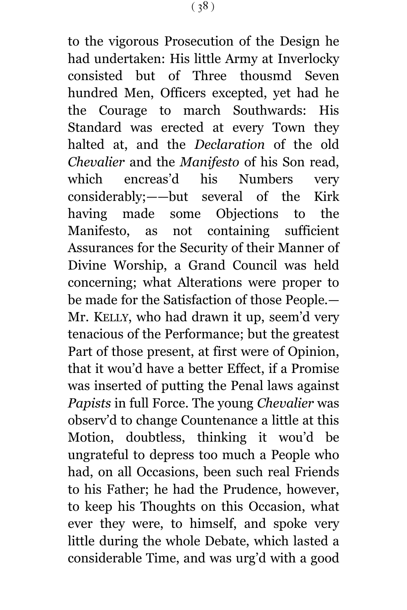to the vigorous Prosecution of the Design he had undertaken: His little Army at Inverlocky consisted but of Three thousmd Seven hundred Men, Officers excepted, yet had he the Courage to march Southwards: His Standard was erected at every Town they halted at, and the *Declaration* of the old *Chevalier* and the *Manifesto* of his Son read, which encreas'd his Numbers very considerably;——but several of the Kirk having made some Objections to the Manifesto, as not containing sufficient Assurances for the Security of their Manner of Divine Worship, a Grand Council was held concerning; what Alterations were proper to be made for the Satisfaction of those People.— Mr. KELLY, who had drawn it up, seem'd very tenacious of the Performance; but the greatest Part of those present, at first were of Opinion, that it wou'd have a better Effect, if a Promise was inserted of putting the Penal laws against *Papists* in full Force. The young *Chevalier* was observ'd to change Countenance a little at this Motion, doubtless, thinking it wou'd be ungrateful to depress too much a People who had, on all Occasions, been such real Friends to his Father; he had the Prudence, however, to keep his Thoughts on this Occasion, what ever they were, to himself, and spoke very little during the whole Debate, which lasted a considerable Time, and was urg'd with a good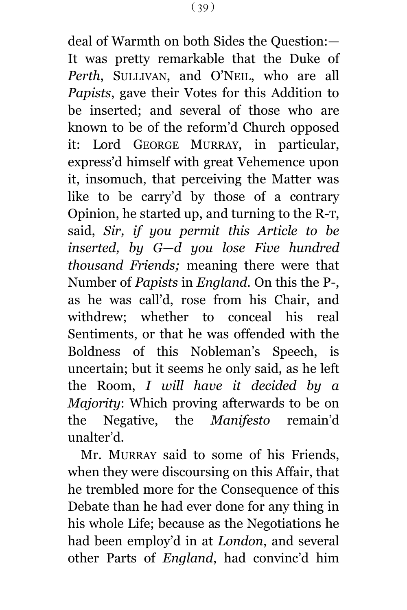deal of Warmth on both Sides the Question:— It was pretty remarkable that the Duke of *Perth*, SULLIVAN, and O'NEIL, who are all *Papists*, gave their Votes for this Addition to be inserted; and several of those who are known to be of the reform'd Church opposed it: Lord GEORGE MURRAY, in particular, express'd himself with great Vehemence upon it, insomuch, that perceiving the Matter was like to be carry'd by those of a contrary Opinion, he started up, and turning to the R-T, said, *Sir, if you permit this Article to be inserted, by G—d you lose Five hundred thousand Friends;* meaning there were that Number of *Papists* in *England.* On this the P-, as he was call'd, rose from his Chair, and withdrew; whether to conceal his real Sentiments, or that he was offended with the Boldness of this Nobleman's Speech, is uncertain; but it seems he only said, as he left the Room, *I will have it decided by a Majority*: Which proving afterwards to be on the Negative, the *Manifesto* remain'd unalter'd.

Mr. MURRAY said to some of his Friends, when they were discoursing on this Affair, that he trembled more for the Consequence of this Debate than he had ever done for any thing in his whole Life; because as the Negotiations he had been employ'd in at *London*, and several other Parts of *England*, had convinc'd him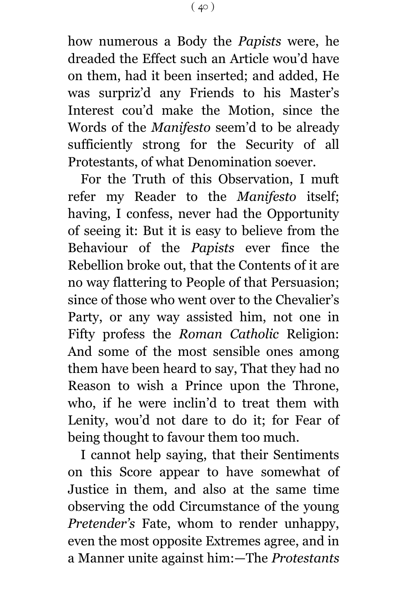how numerous a Body the *Papists* were, he dreaded the Effect such an Article wou'd have on them, had it been inserted; and added, He was surpriz'd any Friends to his Master's Interest cou'd make the Motion, since the Words of the *Manifesto* seem'd to be already sufficiently strong for the Security of all Protestants, of what Denomination soever.

For the Truth of this Observation, I muft refer my Reader to the *Manifesto* itself; having, I confess, never had the Opportunity of seeing it: But it is easy to believe from the Behaviour of the *Papists* ever fince the Rebellion broke out, that the Contents of it are no way flattering to People of that Persuasion; since of those who went over to the Chevalier's Party, or any way assisted him, not one in Fifty profess the *Roman Catholic* Religion: And some of the most sensible ones among them have been heard to say, That they had no Reason to wish a Prince upon the Throne, who, if he were inclin'd to treat them with Lenity, wou'd not dare to do it; for Fear of being thought to favour them too much.

I cannot help saying, that their Sentiments on this Score appear to have somewhat of Justice in them, and also at the same time observing the odd Circumstance of the young *Pretender's* Fate, whom to render unhappy, even the most opposite Extremes agree, and in a Manner unite against him:—The *Protestants*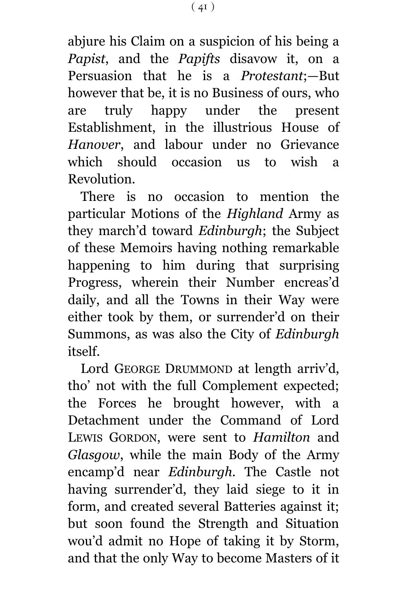abjure his Claim on a suspicion of his being a *Papist*, and the *Papifts* disavow it, on a Persuasion that he is a *Protestant*;—But however that be, it is no Business of ours, who are truly happy under the present Establishment, in the illustrious House of *Hanover*, and labour under no Grievance which should occasion us to wish a Revolution.

There is no occasion to mention the particular Motions of the *Highland* Army as they march'd toward *Edinburgh*; the Subject of these Memoirs having nothing remarkable happening to him during that surprising Progress, wherein their Number encreas'd daily, and all the Towns in their Way were either took by them, or surrender'd on their Summons, as was also the City of *Edinburgh* itself.

Lord GEORGE DRUMMOND at length arriv'd, tho' not with the full Complement expected; the Forces he brought however, with a Detachment under the Command of Lord LEWIS GORDON, were sent to *Hamilton* and *Glasgow*, while the main Body of the Army encamp'd near *Edinburgh*. The Castle not having surrender'd, they laid siege to it in form, and created several Batteries against it; but soon found the Strength and Situation wou'd admit no Hope of taking it by Storm, and that the only Way to become Masters of it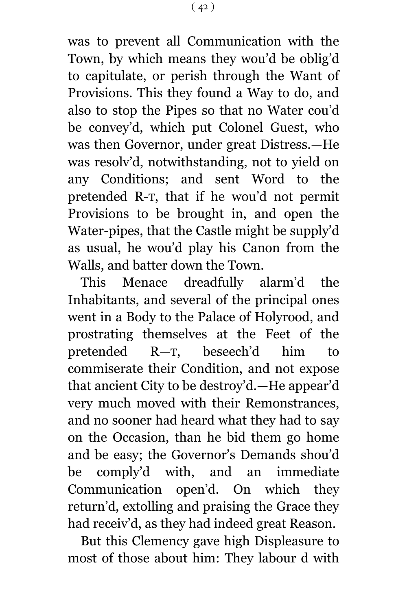was to prevent all Communication with the Town, by which means they wou'd be oblig'd to capitulate, or perish through the Want of Provisions. This they found a Way to do, and also to stop the Pipes so that no Water cou'd be convey'd, which put Colonel Guest, who was then Governor, under great Distress.—He was resolv'd, notwithstanding, not to yield on any Conditions; and sent Word to the pretended R-T, that if he wou'd not permit Provisions to be brought in, and open the Water-pipes, that the Castle might be supply'd as usual, he wou'd play his Canon from the Walls, and batter down the Town.

This Menace dreadfully alarm'd the Inhabitants, and several of the principal ones went in a Body to the Palace of Holyrood, and prostrating themselves at the Feet of the pretended R—T, beseech'd him to commiserate their Condition, and not expose that ancient City to be destroy'd.—He appear'd very much moved with their Remonstrances, and no sooner had heard what they had to say on the Occasion, than he bid them go home and be easy; the Governor's Demands shou'd be comply'd with, and an immediate Communication open'd. On which they return'd, extolling and praising the Grace they had receiv'd, as they had indeed great Reason.

But this Clemency gave high Displeasure to most of those about him: They labour d with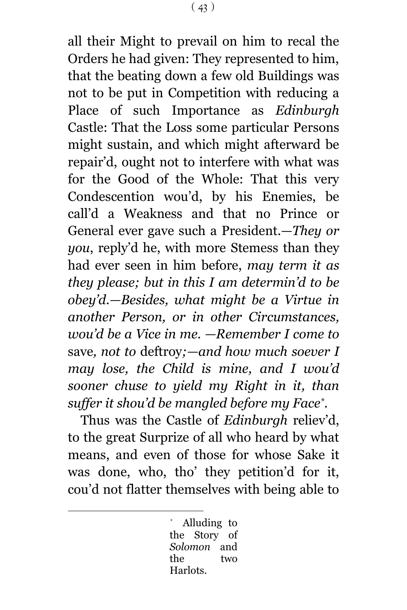all their Might to prevail on him to recal the Orders he had given: They represented to him, that the beating down a few old Buildings was not to be put in Competition with reducing a Place of such Importance as *Edinburgh* Castle: That the Loss some particular Persons might sustain, and which might afterward be repair'd, ought not to interfere with what was for the Good of the Whole: That this very Condescention wou'd, by his Enemies, be call'd a Weakness and that no Prince or General ever gave such a President.—*They or you*, reply'd he, with more Stemess than they had ever seen in him before, *may term it as they please; but in this I am determin'd to be obey'd.—Besides, what might be a Virtue in another Person, or in other Circumstances, wou'd be a Vice in me. —Remember I come to* save*, not to* deftroy*;—and how much soever I may lose, the Child is mine, and I wou'd sooner chuse to yield my Right in it, than suffer it shou'd be mangled before my Face\* .*

Thus was the Castle of *Edinburgh* reliev'd, to the great Surprize of all who heard by what means, and even of those for whose Sake it was done, who, tho' they petition'd for it, cou'd not flatter themselves with being able to

> Alluding to the Story of *Solomon* and the two Harlots.

÷.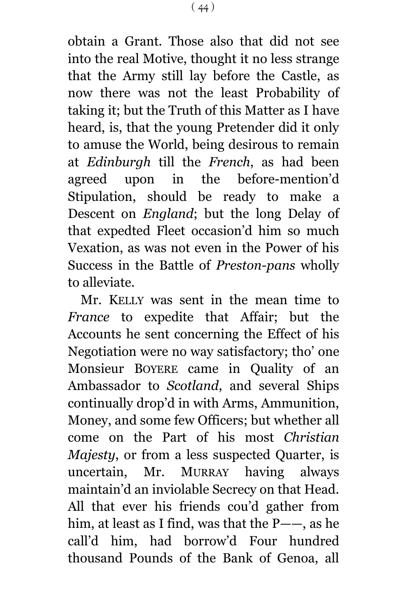obtain a Grant. Those also that did not see into the real Motive, thought it no less strange that the Army still lay before the Castle, as now there was not the least Probability of taking it; but the Truth of this Matter as I have heard, is, that the young Pretender did it only to amuse the World, being desirous to remain at *Edinburgh* till the *French*, as had been agreed upon in the before-mention'd Stipulation, should be ready to make a Descent on *England*; but the long Delay of that expedted Fleet occasion'd him so much Vexation, as was not even in the Power of his Success in the Battle of *Preston-pans* wholly to alleviate.

Mr. KELLY was sent in the mean time to *France* to expedite that Affair; but the Accounts he sent concerning the Effect of his Negotiation were no way satisfactory; tho' one Monsieur BOYERE came in Quality of an Ambassador to *Scotland*, and several Ships continually drop'd in with Arms, Ammunition, Money, and some few Officers; but whether all come on the Part of his most *Christian Majesty*, or from a less suspected Quarter, is uncertain, Mr. MURRAY having always maintain'd an inviolable Secrecy on that Head. All that ever his friends cou'd gather from him, at least as I find, was that the P——, as he call'd him, had borrow'd Four hundred thousand Pounds of the Bank of Genoa, all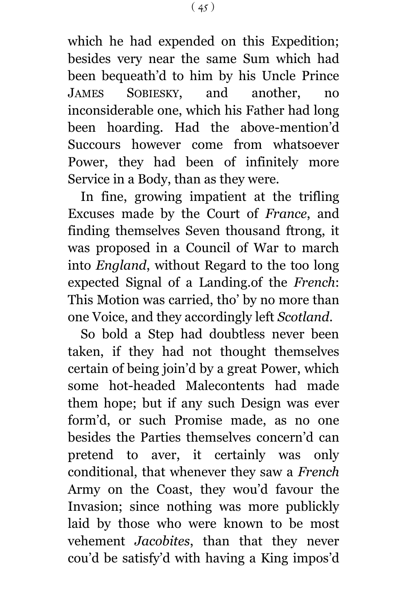which he had expended on this Expedition; besides very near the same Sum which had been bequeath'd to him by his Uncle Prince JAMES SOBIESKY, and another, no inconsiderable one, which his Father had long been hoarding. Had the above-mention'd Succours however come from whatsoever Power, they had been of infinitely more Service in a Body, than as they were.

In fine, growing impatient at the trifling Excuses made by the Court of *France*, and finding themselves Seven thousand ftrong, it was proposed in a Council of War to march into *England*, without Regard to the too long expected Signal of a Landing.of the *French*: This Motion was carried, tho' by no more than one Voice, and they accordingly left *Scotland*.

So bold a Step had doubtless never been taken, if they had not thought themselves certain of being join'd by a great Power, which some hot-headed Malecontents had made them hope; but if any such Design was ever form'd, or such Promise made, as no one besides the Parties themselves concern'd can pretend to aver, it certainly was only conditional, that whenever they saw a *French* Army on the Coast, they wou'd favour the Invasion; since nothing was more publickly laid by those who were known to be most vehement *Jacobites*, than that they never cou'd be satisfy'd with having a King impos'd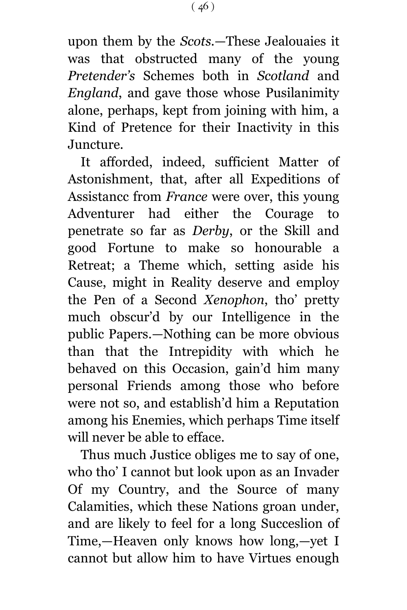upon them by the *Scots*.—These Jealouaies it was that obstructed many of the young *Pretender's* Schemes both in *Scotland* and *England*, and gave those whose Pusilanimity alone, perhaps, kept from joining with him, a Kind of Pretence for their Inactivity in this Juncture.

It afforded, indeed, sufficient Matter of Astonishment, that, after all Expeditions of Assistancc from *France* were over, this young Adventurer had either the Courage to penetrate so far as *Derby*, or the Skill and good Fortune to make so honourable a Retreat; a Theme which, setting aside his Cause, might in Reality deserve and employ the Pen of a Second *Xenophon*, tho' pretty much obscur'd by our Intelligence in the public Papers.—Nothing can be more obvious than that the Intrepidity with which he behaved on this Occasion, gain'd him many personal Friends among those who before were not so, and establish'd him a Reputation among his Enemies, which perhaps Time itself will never be able to efface.

Thus much Justice obliges me to say of one, who tho' I cannot but look upon as an Invader Of my Country, and the Source of many Calamities, which these Nations groan under, and are likely to feel for a long Succeslion of Time,—Heaven only knows how long,—yet I cannot but allow him to have Virtues enough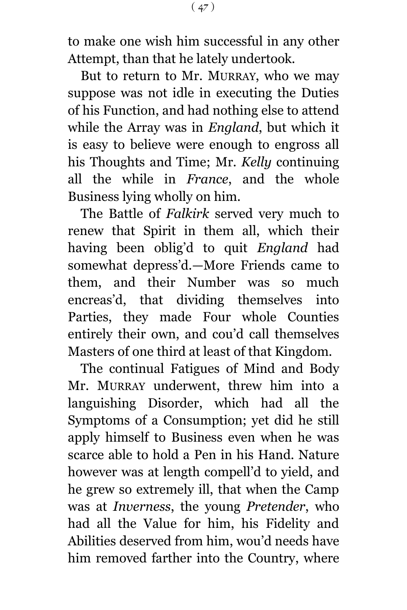to make one wish him successful in any other Attempt, than that he lately undertook.

But to return to Mr. MURRAY, who we may suppose was not idle in executing the Duties of his Function, and had nothing else to attend while the Array was in *England*, but which it is easy to believe were enough to engross all his Thoughts and Time; Mr. *Kelly* continuing all the while in *France*, and the whole Business lying wholly on him.

The Battle of *Falkirk* served very much to renew that Spirit in them all, which their having been oblig'd to quit *England* had somewhat depress'd.—More Friends came to them, and their Number was so much encreas'd, that dividing themselves into Parties, they made Four whole Counties entirely their own, and cou'd call themselves Masters of one third at least of that Kingdom.

The continual Fatigues of Mind and Body Mr. MURRAY underwent, threw him into a languishing Disorder, which had all the Symptoms of a Consumption; yet did he still apply himself to Business even when he was scarce able to hold a Pen in his Hand. Nature however was at length compell'd to yield, and he grew so extremely ill, that when the Camp was at *Inverness*, the young *Pretender*, who had all the Value for him, his Fidelity and Abilities deserved from him, wou'd needs have him removed farther into the Country, where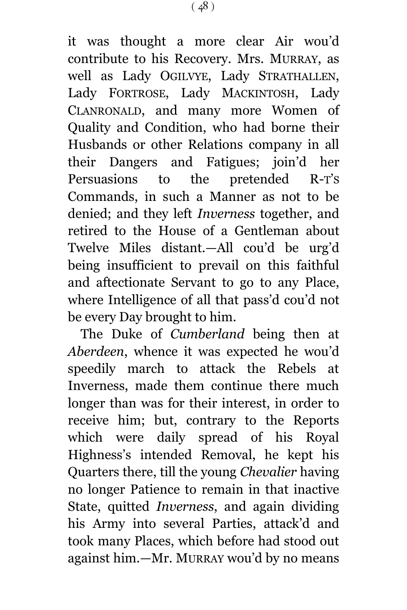it was thought a more clear Air wou'd contribute to his Recovery. Mrs. MURRAY, as well as Lady OGILVYE, Lady STRATHALLEN, Lady FORTROSE, Lady MACKINTOSH, Lady CLANRONALD, and many more Women of Quality and Condition, who had borne their Husbands or other Relations company in all their Dangers and Fatigues; join'd her Persuasions to the pretended R-T'S Commands, in such a Manner as not to be denied; and they left *Inverness* together, and retired to the House of a Gentleman about Twelve Miles distant.—All cou'd be urg'd being insufficient to prevail on this faithful and aftectionate Servant to go to any Place, where Intelligence of all that pass'd cou'd not be every Day brought to him.

The Duke of *Cumberland* being then at *Aberdeen*, whence it was expected he wou'd speedily march to attack the Rebels at Inverness, made them continue there much longer than was for their interest, in order to receive him; but, contrary to the Reports which were daily spread of his Royal Highness's intended Removal, he kept his Quarters there, till the young *Chevalier* having no longer Patience to remain in that inactive State, quitted *Inverness*, and again dividing his Army into several Parties, attack'd and took many Places, which before had stood out against him.—Mr. MURRAY wou'd by no means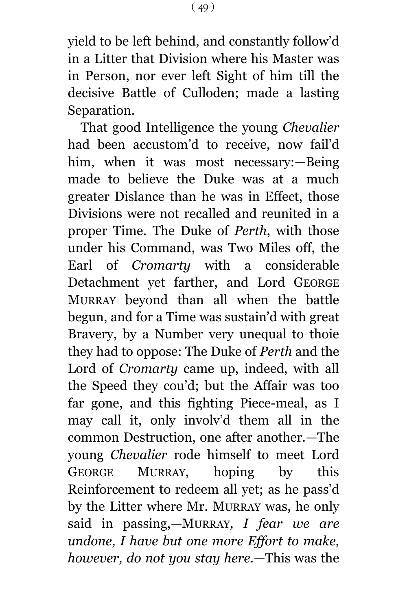yield to be left behind, and constantly follow'd in a Litter that Division where his Master was in Person, nor ever left Sight of him till the decisive Battle of Culloden; made a lasting Separation.

That good Intelligence the young *Chevalier* had been accustom'd to receive, now fail'd him, when it was most necessary:—Being made to believe the Duke was at a much greater Dislance than he was in Effect, those Divisions were not recalled and reunited in a proper Time. The Duke of *Perth*, with those under his Command, was Two Miles off, the Earl of *Cromarty* with a considerable Detachment yet farther, and Lord GEORGE MURRAY beyond than all when the battle begun, and for a Time was sustain'd with great Bravery, by a Number very unequal to thoie they had to oppose: The Duke of *Perth* and the Lord of *Cromarty* came up, indeed, with all the Speed they cou'd; but the Affair was too far gone, and this fighting Piece-meal, as I may call it, only involv'd them all in the common Destruction, one after another.—The young *Chevalier* rode himself to meet Lord GEORGE MURRAY, hoping by this Reinforcement to redeem all yet; as he pass'd by the Litter where Mr. MURRAY was, he only said in passing,*—*MURRAY*, I fear we are undone, I have but one more Effort to make, however, do not you stay here.—*This was the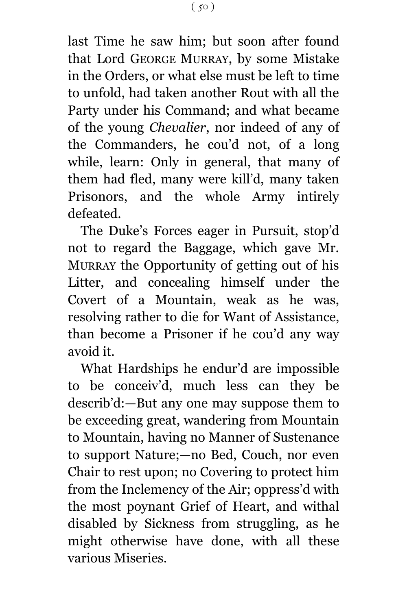last Time he saw him; but soon after found that Lord GEORGE MURRAY, by some Mistake in the Orders, or what else must be left to time to unfold, had taken another Rout with all the Party under his Command; and what became of the young *Chevalier*, nor indeed of any of the Commanders, he cou'd not, of a long while, learn: Only in general, that many of them had fled, many were kill'd, many taken Prisonors, and the whole Army intirely defeated.

The Duke's Forces eager in Pursuit, stop'd not to regard the Baggage, which gave Mr. MURRAY the Opportunity of getting out of his Litter, and concealing himself under the Covert of a Mountain, weak as he was, resolving rather to die for Want of Assistance, than become a Prisoner if he cou'd any way avoid it.

What Hardships he endur'd are impossible to be conceiv'd, much less can they be describ'd:—But any one may suppose them to be exceeding great, wandering from Mountain to Mountain, having no Manner of Sustenance to support Nature;—no Bed, Couch, nor even Chair to rest upon; no Covering to protect him from the Inclemency of the Air; oppress'd with the most poynant Grief of Heart, and withal disabled by Sickness from struggling, as he might otherwise have done, with all these various Miseries.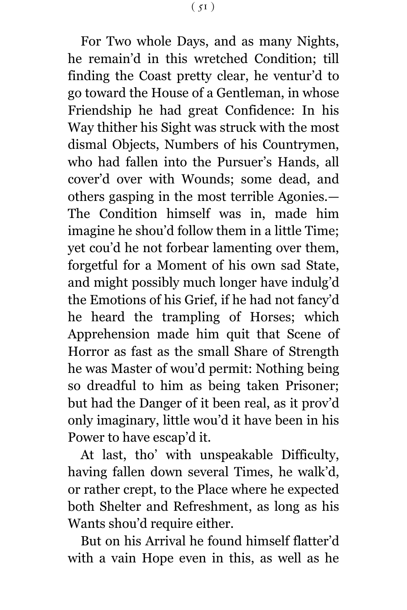For Two whole Days, and as many Nights, he remain'd in this wretched Condition; till finding the Coast pretty clear, he ventur'd to go toward the House of a Gentleman, in whose Friendship he had great Confidence: In his Way thither his Sight was struck with the most dismal Objects, Numbers of his Countrymen, who had fallen into the Pursuer's Hands, all cover'd over with Wounds; some dead, and others gasping in the most terrible Agonies.— The Condition himself was in, made him imagine he shou'd follow them in a little Time; yet cou'd he not forbear lamenting over them, forgetful for a Moment of his own sad State, and might possibly much longer have indulg'd the Emotions of his Grief, if he had not fancy'd he heard the trampling of Horses; which Apprehension made him quit that Scene of Horror as fast as the small Share of Strength he was Master of wou'd permit: Nothing being so dreadful to him as being taken Prisoner; but had the Danger of it been real, as it prov'd only imaginary, little wou'd it have been in his Power to have escap'd it.

At last, tho' with unspeakable Difficulty, having fallen down several Times, he walk'd, or rather crept, to the Place where he expected both Shelter and Refreshment, as long as his Wants shou'd require either.

But on his Arrival he found himself flatter'd with a vain Hope even in this, as well as he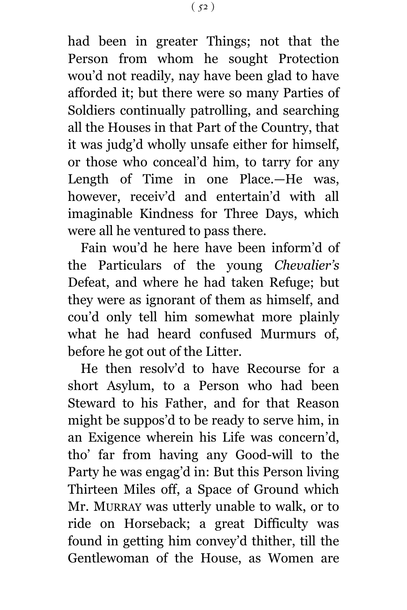had been in greater Things; not that the Person from whom he sought Protection wou'd not readily, nay have been glad to have afforded it; but there were so many Parties of Soldiers continually patrolling, and searching all the Houses in that Part of the Country, that it was judg'd wholly unsafe either for himself, or those who conceal'd him, to tarry for any Length of Time in one Place.—He was, however, receiv'd and entertain'd with all imaginable Kindness for Three Days, which were all he ventured to pass there.

Fain wou'd he here have been inform'd of the Particulars of the young *Chevalier's* Defeat, and where he had taken Refuge; but they were as ignorant of them as himself, and cou'd only tell him somewhat more plainly what he had heard confused Murmurs of, before he got out of the Litter.

He then resolv'd to have Recourse for a short Asylum, to a Person who had been Steward to his Father, and for that Reason might be suppos'd to be ready to serve him, in an Exigence wherein his Life was concern'd, tho' far from having any Good-will to the Party he was engag'd in: But this Person living Thirteen Miles off, a Space of Ground which Mr. MURRAY was utterly unable to walk, or to ride on Horseback; a great Difficulty was found in getting him convey'd thither, till the Gentlewoman of the House, as Women are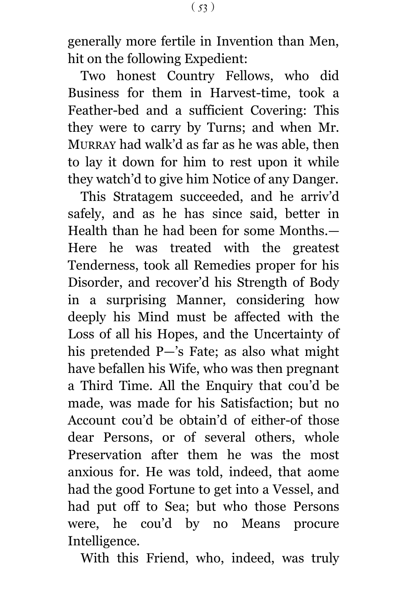generally more fertile in Invention than Men, hit on the following Expedient:

Two honest Country Fellows, who did Business for them in Harvest-time, took a Feather-bed and a sufficient Covering: This they were to carry by Turns; and when Mr. MURRAY had walk'd as far as he was able, then to lay it down for him to rest upon it while they watch'd to give him Notice of any Danger.

This Stratagem succeeded, and he arriv'd safely, and as he has since said, better in Health than he had been for some Months.— Here he was treated with the greatest Tenderness, took all Remedies proper for his Disorder, and recover'd his Strength of Body in a surprising Manner, considering how deeply his Mind must be affected with the Loss of all his Hopes, and the Uncertainty of his pretended P—'s Fate; as also what might have befallen his Wife, who was then pregnant a Third Time. All the Enquiry that cou'd be made, was made for his Satisfaction; but no Account cou'd be obtain'd of either-of those dear Persons, or of several others, whole Preservation after them he was the most anxious for. He was told, indeed, that aome had the good Fortune to get into a Vessel, and had put off to Sea; but who those Persons were, he cou'd by no Means procure Intelligence.

With this Friend, who, indeed, was truly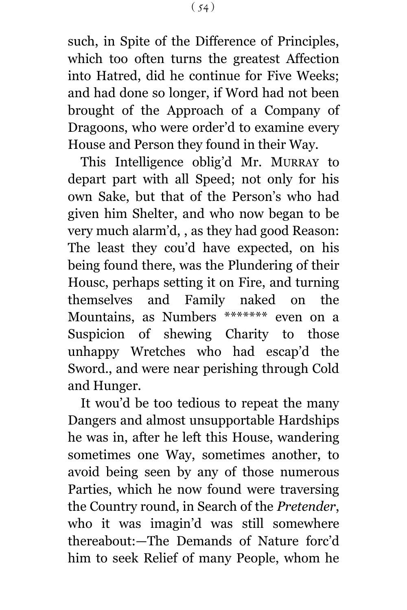such, in Spite of the Difference of Principles, which too often turns the greatest Affection into Hatred, did he continue for Five Weeks; and had done so longer, if Word had not been brought of the Approach of a Company of Dragoons, who were order'd to examine every House and Person they found in their Way.

This Intelligence oblig'd Mr. MURRAY to depart part with all Speed; not only for his own Sake, but that of the Person's who had given him Shelter, and who now began to be very much alarm'd, , as they had good Reason: The least they cou'd have expected, on his being found there, was the Plundering of their Housc, perhaps setting it on Fire, and turning themselves and Family naked on the Mountains, as Numbers \*\*\*\*\*\*\* even on a Suspicion of shewing Charity to those unhappy Wretches who had escap'd the Sword., and were near perishing through Cold and Hunger.

It wou'd be too tedious to repeat the many Dangers and almost unsupportable Hardships he was in, after he left this House, wandering sometimes one Way, sometimes another, to avoid being seen by any of those numerous Parties, which he now found were traversing the Country round, in Search of the *Pretender*, who it was imagin'd was still somewhere thereabout:—The Demands of Nature forc'd him to seek Relief of many People, whom he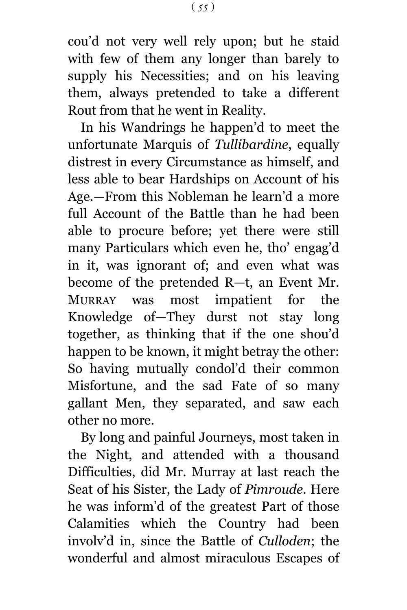cou'd not very well rely upon; but he staid with few of them any longer than barely to supply his Necessities; and on his leaving them, always pretended to take a different Rout from that he went in Reality.

In his Wandrings he happen'd to meet the unfortunate Marquis of *Tullibardine*, equally distrest in every Circumstance as himself, and less able to bear Hardships on Account of his Age.—From this Nobleman he learn'd a more full Account of the Battle than he had been able to procure before; yet there were still many Particulars which even he, tho' engag'd in it, was ignorant of; and even what was become of the pretended R—t, an Event Mr. MURRAY was most impatient for the Knowledge of—They durst not stay long together, as thinking that if the one shou'd happen to be known, it might betray the other: So having mutually condol'd their common Misfortune, and the sad Fate of so many gallant Men, they separated, and saw each other no more.

By long and painful Journeys, most taken in the Night, and attended with a thousand Difficulties, did Mr. Murray at last reach the Seat of his Sister, the Lady of *Pimroude*. Here he was inform'd of the greatest Part of those Calamities which the Country had been involv'd in, since the Battle of *Culloden*; the wonderful and almost miraculous Escapes of

 $(55)$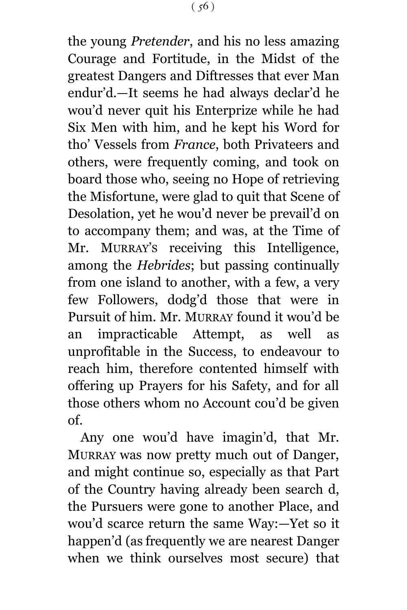the young *Pretender*, and his no less amazing Courage and Fortitude, in the Midst of the greatest Dangers and Diftresses that ever Man endur'd.—It seems he had always declar'd he wou'd never quit his Enterprize while he had Six Men with him, and he kept his Word for tho' Vessels from *France*, both Privateers and others, were frequently coming, and took on board those who, seeing no Hope of retrieving the Misfortune, were glad to quit that Scene of Desolation, yet he wou'd never be prevail'd on to accompany them; and was, at the Time of Mr. MURRAY'S receiving this Intelligence, among the *Hebrides*; but passing continually from one island to another, with a few, a very few Followers, dodg'd those that were in Pursuit of him. Mr. MURRAY found it wou'd be an impracticable Attempt, as well as unprofitable in the Success, to endeavour to reach him, therefore contented himself with offering up Prayers for his Safety, and for all those others whom no Account cou'd be given of.

Any one wou'd have imagin'd, that Mr. MURRAY was now pretty much out of Danger, and might continue so, especially as that Part of the Country having already been search d, the Pursuers were gone to another Place, and wou'd scarce return the same Way:—Yet so it happen'd (as frequently we are nearest Danger when we think ourselves most secure) that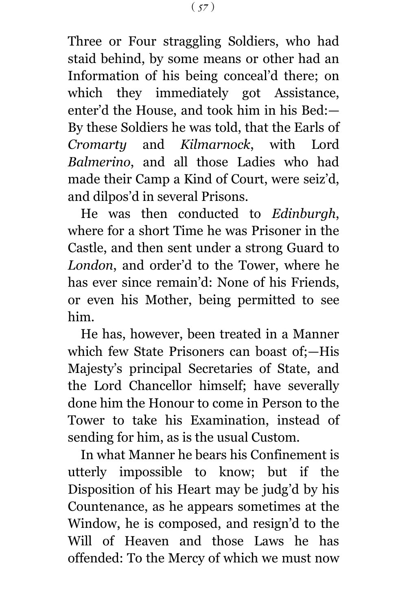Three or Four straggling Soldiers, who had staid behind, by some means or other had an Information of his being conceal'd there; on which they immediately got Assistance, enter'd the House, and took him in his Bed:— By these Soldiers he was told, that the Earls of *Cromarty* and *Kilmarnock*, with Lord *Balmerino*, and all those Ladies who had made their Camp a Kind of Court, were seiz'd, and dilpos'd in several Prisons.

He was then conducted to *Edinburgh*, where for a short Time he was Prisoner in the Castle, and then sent under a strong Guard to *London*, and order'd to the Tower, where he has ever since remain'd: None of his Friends, or even his Mother, being permitted to see him.

He has, however, been treated in a Manner which few State Prisoners can boast of;—His Majesty's principal Secretaries of State, and the Lord Chancellor himself; have severally done him the Honour to come in Person to the Tower to take his Examination, instead of sending for him, as is the usual Custom.

In what Manner he bears his Confinement is utterly impossible to know; but if the Disposition of his Heart may be judg'd by his Countenance, as he appears sometimes at the Window, he is composed, and resign'd to the Will of Heaven and those Laws he has offended: To the Mercy of which we must now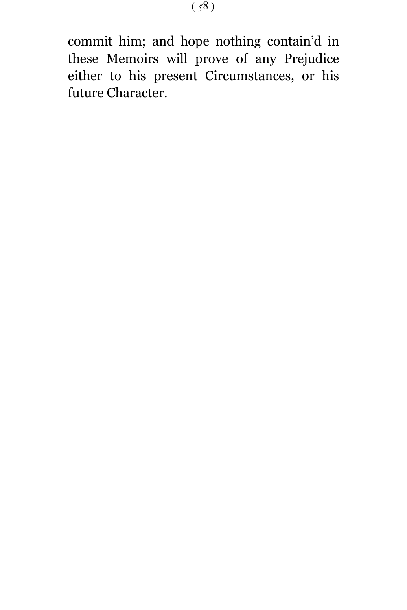commit him; and hope nothing contain'd in these Memoirs will prove of any Prejudice either to his present Circumstances, or his future Character.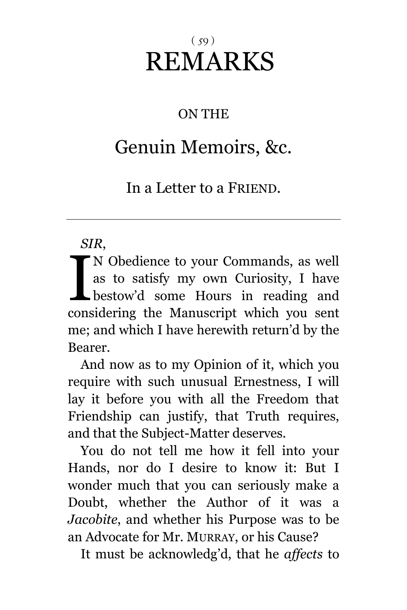## $(59)$ REMARKS

## ON THE

## Genuin Memoirs, &c.

In a Letter to a FRIEND.

## *SIR*,

N Obedience to your Commands, as well as to satisfy my own Curiosity, I have bestow'd some Hours in reading and N Obedience to your Commands, as well<br>as to satisfy my own Curiosity, I have<br>bestow'd some Hours in reading and<br>considering the Manuscript which you sent me; and which I have herewith return'd by the Bearer.

And now as to my Opinion of it, which you require with such unusual Ernestness, I will lay it before you with all the Freedom that Friendship can justify, that Truth requires, and that the Subject-Matter deserves.

You do not tell me how it fell into your Hands, nor do I desire to know it: But I wonder much that you can seriously make a Doubt, whether the Author of it was a *Jacobite*, and whether his Purpose was to be an Advocate for Mr. MURRAY, or his Cause?

It must be acknowledg'd, that he *affects* to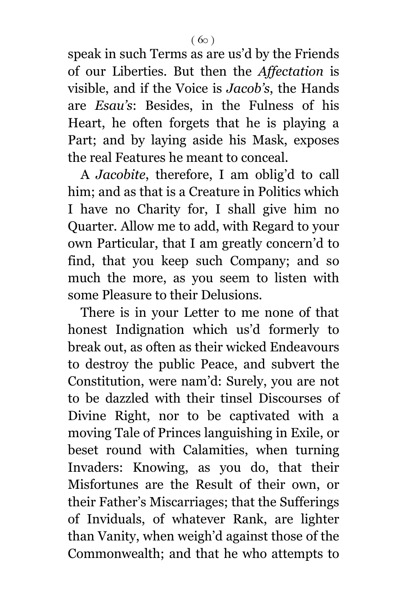speak in such Terms as are us'd by the Friends of our Liberties. But then the *Affectation* is visible, and if the Voice is *Jacob's*, the Hands are *Esau's*: Besides, in the Fulness of his Heart, he often forgets that he is playing a Part; and by laying aside his Mask, exposes the real Features he meant to conceal.

A *Jacobite*, therefore, I am oblig'd to call him; and as that is a Creature in Politics which I have no Charity for, I shall give him no Quarter. Allow me to add, with Regard to your own Particular, that I am greatly concern'd to find, that you keep such Company; and so much the more, as you seem to listen with some Pleasure to their Delusions.

There is in your Letter to me none of that honest Indignation which us'd formerly to break out, as often as their wicked Endeavours to destroy the public Peace, and subvert the Constitution, were nam'd: Surely, you are not to be dazzled with their tinsel Discourses of Divine Right, nor to be captivated with a moving Tale of Princes languishing in Exile, or beset round with Calamities, when turning Invaders: Knowing, as you do, that their Misfortunes are the Result of their own, or their Father's Miscarriages; that the Sufferings of Inviduals, of whatever Rank, are lighter than Vanity, when weigh'd against those of the Commonwealth; and that he who attempts to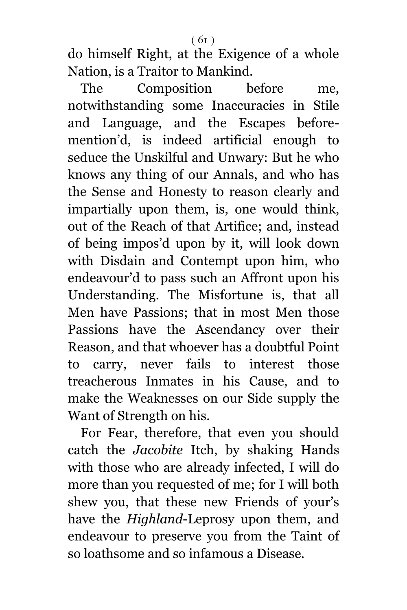do himself Right, at the Exigence of a whole Nation, is a Traitor to Mankind.

The Composition before me, notwithstanding some Inaccuracies in Stile and Language, and the Escapes beforemention'd, is indeed artificial enough to seduce the Unskilful and Unwary: But he who knows any thing of our Annals, and who has the Sense and Honesty to reason clearly and impartially upon them, is, one would think, out of the Reach of that Artifice; and, instead of being impos'd upon by it, will look down with Disdain and Contempt upon him, who endeavour'd to pass such an Affront upon his Understanding. The Misfortune is, that all Men have Passions; that in most Men those Passions have the Ascendancy over their Reason, and that whoever has a doubtful Point to carry, never fails to interest those treacherous Inmates in his Cause, and to make the Weaknesses on our Side supply the Want of Strength on his.

For Fear, therefore, that even you should catch the *Jacobite* Itch, by shaking Hands with those who are already infected, I will do more than you requested of me; for I will both shew you, that these new Friends of your's have the *Highland*-Leprosy upon them, and endeavour to preserve you from the Taint of so loathsome and so infamous a Disease.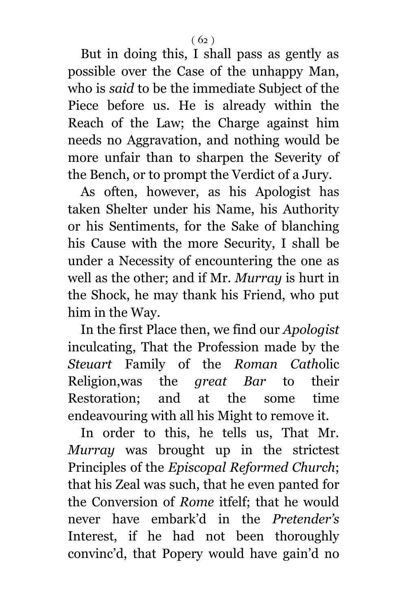But in doing this, I shall pass as gently as possible over the Case of the unhappy Man, who is *said* to be the immediate Subject of the Piece before us. He is already within the Reach of the Law; the Charge against him needs no Aggravation, and nothing would be more unfair than to sharpen the Severity of the Bench, or to prompt the Verdict of a Jury.

As often, however, as his Apologist has taken Shelter under his Name, his Authority or his Sentiments, for the Sake of blanching his Cause with the more Security, I shall be under a Necessity of encountering the one as well as the other; and if Mr. *Murray* is hurt in the Shock, he may thank his Friend, who put him in the Way.

In the first Place then, we find our *Apologist* inculcating, That the Profession made by the *Steuart* Family of the *Roman Cath*olic Religion,was the *great Bar* to their Restoration; and at the some time endeavouring with all his Might to remove it.

In order to this, he tells us, That Mr. *Murray* was brought up in the strictest Principles of the *Episcopal Reformed Church*; that his Zeal was such, that he even panted for the Conversion of *Rome* itfelf; that he would never have embark'd in the *Pretender's* Interest, if he had not been thoroughly convinc'd, that Popery would have gain'd no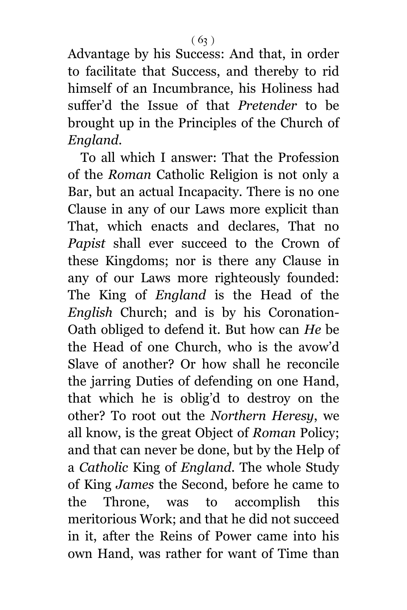Advantage by his Success: And that, in order to facilitate that Success, and thereby to rid himself of an Incumbrance, his Holiness had suffer'd the Issue of that *Pretender* to be brought up in the Principles of the Church of *England*.

To all which I answer: That the Profession of the *Roman* Catholic Religion is not only a Bar, but an actual Incapacity. There is no one Clause in any of our Laws more explicit than That, which enacts and declares, That no *Papist* shall ever succeed to the Crown of these Kingdoms; nor is there any Clause in any of our Laws more righteously founded: The King of *England* is the Head of the *English* Church; and is by his Coronation-Oath obliged to defend it. But how can *He* be the Head of one Church, who is the avow'd Slave of another? Or how shall he reconcile the jarring Duties of defending on one Hand, that which he is oblig'd to destroy on the other? To root out the *Northern Heresy*, we all know, is the great Object of *Roman* Policy; and that can never be done, but by the Help of a *Catholic* King of *England*. The whole Study of King *James* the Second, before he came to the Throne, was to accomplish this meritorious Work; and that he did not succeed in it, after the Reins of Power came into his own Hand, was rather for want of Time than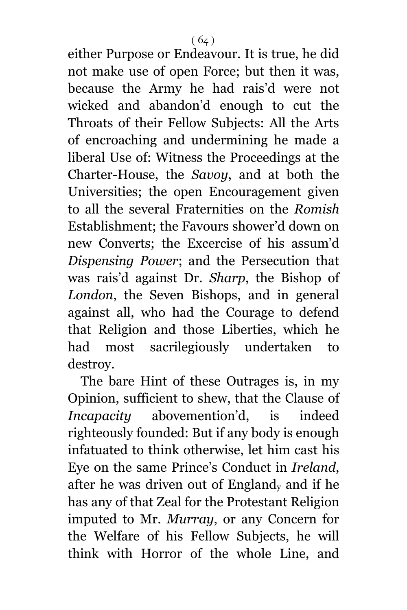either Purpose or Endeavour. It is true, he did not make use of open Force; but then it was, because the Army he had rais'd were not wicked and abandon'd enough to cut the Throats of their Fellow Subjects: All the Arts of encroaching and undermining he made a liberal Use of: Witness the Proceedings at the Charter-House, the *Savoy*, and at both the Universities; the open Encouragement given to all the several Fraternities on the *Romish* Establishment; the Favours shower'd down on new Converts; the Excercise of his assum'd *Dispensing Power*; and the Persecution that was rais'd against Dr. *Sharp*, the Bishop of *London*, the Seven Bishops, and in general against all, who had the Courage to defend that Religion and those Liberties, which he had most sacrilegiously undertaken to destroy.

The bare Hint of these Outrages is, in my Opinion, sufficient to shew, that the Clause of *Incapacity* abovemention'd, is indeed righteously founded: But if any body is enough infatuated to think otherwise, let him cast his Eye on the same Prince's Conduct in *Ireland*, after he was driven out of England<sup>y</sup> and if he has any of that Zeal for the Protestant Religion imputed to Mr. *Murray*, or any Concern for the Welfare of his Fellow Subjects, he will think with Horror of the whole Line, and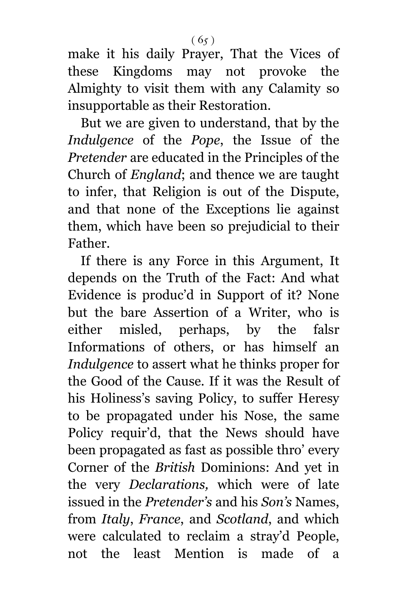make it his daily Prayer, That the Vices of these Kingdoms may not provoke the Almighty to visit them with any Calamity so insupportable as their Restoration.

But we are given to understand, that by the *Indulgence* of the *Pope*, the Issue of the *Pretender* are educated in the Principles of the Church of *England*; and thence we are taught to infer, that Religion is out of the Dispute, and that none of the Exceptions lie against them, which have been so prejudicial to their Father.

If there is any Force in this Argument, It depends on the Truth of the Fact: And what Evidence is produc'd in Support of it? None but the bare Assertion of a Writer, who is either misled, perhaps, by the falsr Informations of others, or has himself an *Indulgence* to assert what he thinks proper for the Good of the Cause. If it was the Result of his Holiness's saving Policy, to suffer Heresy to be propagated under his Nose, the same Policy requir'd, that the News should have been propagated as fast as possible thro' every Corner of the *British* Dominions: And yet in the very *Declarations,* which were of late issued in the *Pretender's* and his *Son's* Names, from *Italy*, *France*, and *Scotland*, and which were calculated to reclaim a stray'd People, not the least Mention is made of a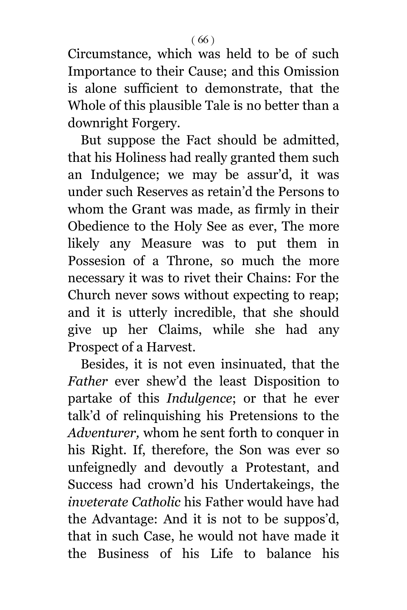Circumstance, which was held to be of such Importance to their Cause; and this Omission is alone sufficient to demonstrate, that the Whole of this plausible Tale is no better than a downright Forgery.

But suppose the Fact should be admitted, that his Holiness had really granted them such an Indulgence; we may be assur'd, it was under such Reserves as retain'd the Persons to whom the Grant was made, as firmly in their Obedience to the Holy See as ever, The more likely any Measure was to put them in Possesion of a Throne, so much the more necessary it was to rivet their Chains: For the Church never sows without expecting to reap; and it is utterly incredible, that she should give up her Claims, while she had any Prospect of a Harvest.

Besides, it is not even insinuated, that the *Father* ever shew'd the least Disposition to partake of this *Indulgence*; or that he ever talk'd of relinquishing his Pretensions to the *Adventurer,* whom he sent forth to conquer in his Right. If, therefore, the Son was ever so unfeignedly and devoutly a Protestant, and Success had crown'd his Undertakeings, the *inveterate Catholic* his Father would have had the Advantage: And it is not to be suppos'd, that in such Case, he would not have made it the Business of his Life to balance his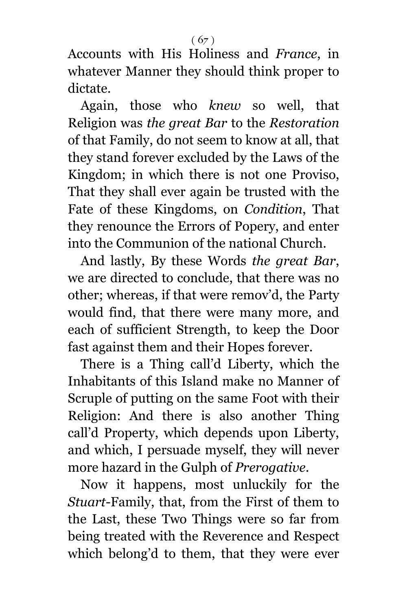Accounts with His Holiness and *France*, in whatever Manner they should think proper to dictate.

Again, those who *knew* so well, that Religion was *the great Bar* to the *Restoration* of that Family, do not seem to know at all, that they stand forever excluded by the Laws of the Kingdom; in which there is not one Proviso, That they shall ever again be trusted with the Fate of these Kingdoms, on *Condition*, That they renounce the Errors of Popery, and enter into the Communion of the national Church.

And lastly, By these Words *the great Bar*, we are directed to conclude, that there was no other; whereas, if that were remov'd, the Party would find, that there were many more, and each of sufficient Strength, to keep the Door fast against them and their Hopes forever.

There is a Thing call'd Liberty, which the Inhabitants of this Island make no Manner of Scruple of putting on the same Foot with their Religion: And there is also another Thing call'd Property, which depends upon Liberty, and which, I persuade myself, they will never more hazard in the Gulph of *Prerogative*.

Now it happens, most unluckily for the *Stuart*-Family, that, from the First of them to the Last, these Two Things were so far from being treated with the Reverence and Respect which belong'd to them, that they were ever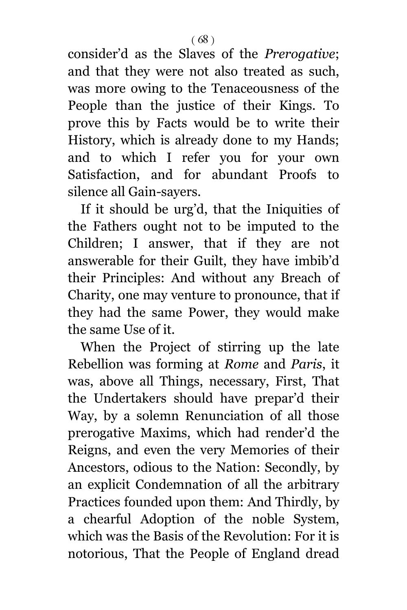consider'd as the Slaves of the *Prerogative*; and that they were not also treated as such, was more owing to the Tenaceousness of the People than the justice of their Kings. To prove this by Facts would be to write their History, which is already done to my Hands; and to which I refer you for your own Satisfaction, and for abundant Proofs to silence all Gain-sayers.

If it should be urg'd, that the Iniquities of the Fathers ought not to be imputed to the Children; I answer, that if they are not answerable for their Guilt, they have imbib'd their Principles: And without any Breach of Charity, one may venture to pronounce, that if they had the same Power, they would make the same Use of it.

When the Project of stirring up the late Rebellion was forming at *Rome* and *Paris*, it was, above all Things, necessary, First, That the Undertakers should have prepar'd their Way, by a solemn Renunciation of all those prerogative Maxims, which had render'd the Reigns, and even the very Memories of their Ancestors, odious to the Nation: Secondly, by an explicit Condemnation of all the arbitrary Practices founded upon them: And Thirdly, by a chearful Adoption of the noble System, which was the Basis of the Revolution: For it is notorious, That the People of England dread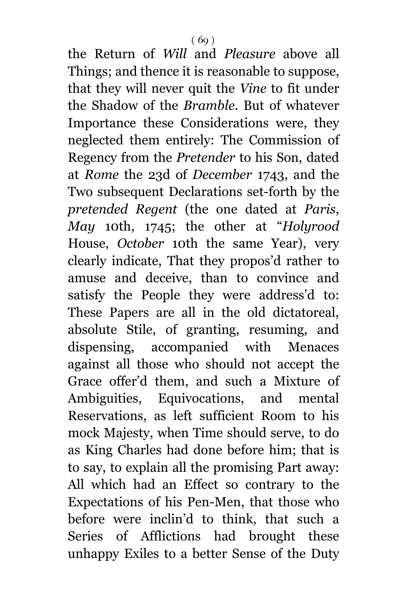the Return of *Will* and *Pleasure* above all Things; and thence it is reasonable to suppose, that they will never quit the *Vine* to fit under the Shadow of the *Bramble*. But of whatever Importance these Considerations were, they neglected them entirely: The Commission of Regency from the *Pretender* to his Son, dated at *Rome* the 23d of *December* 1743, and the Two subsequent Declarations set-forth by the *pretended Regent* (the one dated at *Paris*, *May* 10th, 1745; the other at "*Holyrood* House, *October* 10th the same Year), very clearly indicate, That they propos'd rather to amuse and deceive, than to convince and satisfy the People they were address'd to: These Papers are all in the old dictatoreal, absolute Stile, of granting, resuming, and dispensing, accompanied with Menaces against all those who should not accept the Grace offer'd them, and such a Mixture of Ambiguities, Equivocations, and mental Reservations, as left sufficient Room to his mock Majesty, when Time should serve, to do as King Charles had done before him; that is to say, to explain all the promising Part away: All which had an Effect so contrary to the Expectations of his Pen-Men, that those who before were inclin'd to think, that such a Series of Afflictions had brought these unhappy Exiles to a better Sense of the Duty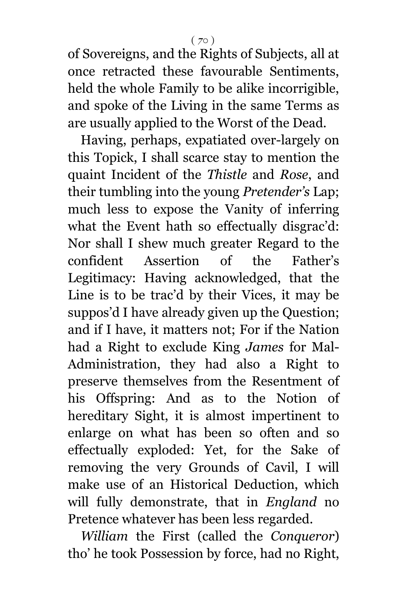of Sovereigns, and the Rights of Subjects, all at once retracted these favourable Sentiments, held the whole Family to be alike incorrigible, and spoke of the Living in the same Terms as are usually applied to the Worst of the Dead.

Having, perhaps, expatiated over-largely on this Topick, I shall scarce stay to mention the quaint Incident of the *Thistle* and *Rose*, and their tumbling into the young *Pretender's* Lap; much less to expose the Vanity of inferring what the Event hath so effectually disgrac'd: Nor shall I shew much greater Regard to the confident Assertion of the Father's Legitimacy: Having acknowledged, that the Line is to be trac'd by their Vices, it may be suppos'd I have already given up the Question; and if I have, it matters not; For if the Nation had a Right to exclude King *James* for Mal-Administration, they had also a Right to preserve themselves from the Resentment of his Offspring: And as to the Notion of hereditary Sight, it is almost impertinent to enlarge on what has been so often and so effectually exploded: Yet, for the Sake of removing the very Grounds of Cavil, I will make use of an Historical Deduction, which will fully demonstrate, that in *England* no Pretence whatever has been less regarded.

*William* the First (called the *Conqueror*) tho' he took Possession by force, had no Right,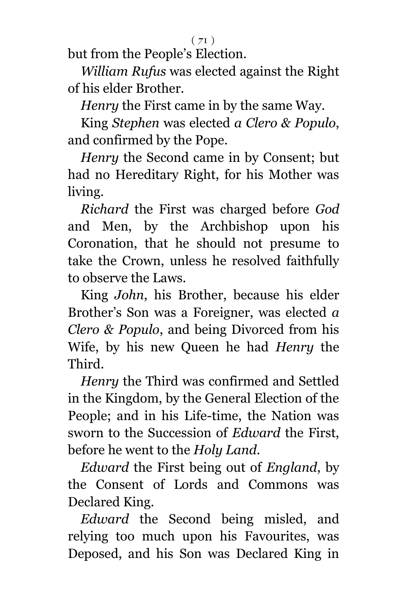$(71)$ 

but from the People's Election.

*William Rufus* was elected against the Right of his elder Brother.

*Henry* the First came in by the same Way.

King *Stephen* was elected *a Clero & Populo*, and confirmed by the Pope.

*Henry* the Second came in by Consent; but had no Hereditary Right, for his Mother was living.

*Richard* the First was charged before *God* and Men, by the Archbishop upon his Coronation, that he should not presume to take the Crown, unless he resolved faithfully to observe the Laws.

King *John*, his Brother, because his elder Brother's Son was a Foreigner, was elected *a Clero & Populo*, and being Divorced from his Wife, by his new Queen he had *Henry* the Third.

*Henry* the Third was confirmed and Settled in the Kingdom, by the General Election of the People; and in his Life-time, the Nation was sworn to the Succession of *Edward* the First, before he went to the *Holy Land*.

*Edward* the First being out of *England*, by the Consent of Lords and Commons was Declared King.

*Edward* the Second being misled, and relying too much upon his Favourites, was Deposed, and his Son was Declared King in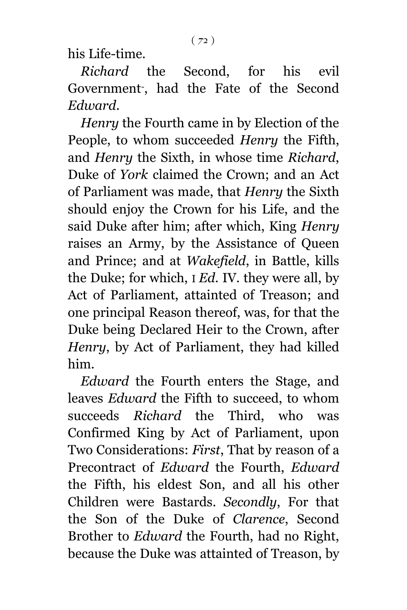his Life-time.

*Richard* the Second, for his evil Government- , had the Fate of the Second *Edward*.

*Henry* the Fourth came in by Election of the People, to whom succeeded *Henry* the Fifth, and *Henry* the Sixth, in whose time *Richard*, Duke of *York* claimed the Crown; and an Act of Parliament was made, that *Henry* the Sixth should enjoy the Crown for his Life, and the said Duke after him; after which, King *Henry* raises an Army, by the Assistance of Queen and Prince; and at *Wakefield*, in Battle, kills the Duke; for which, I *Ed*. IV. they were all, by Act of Parliament, attainted of Treason; and one principal Reason thereof, was, for that the Duke being Declared Heir to the Crown, after *Henry*, by Act of Parliament, they had killed him.

*Edward* the Fourth enters the Stage, and leaves *Edward* the Fifth to succeed, to whom succeeds *Richard* the Third, who was Confirmed King by Act of Parliament, upon Two Considerations: *First*, That by reason of a Precontract of *Edward* the Fourth, *Edward* the Fifth, his eldest Son, and all his other Children were Bastards. *Secondly*, For that the Son of the Duke of *Clarence*, Second Brother to *Edward* the Fourth, had no Right, because the Duke was attainted of Treason, by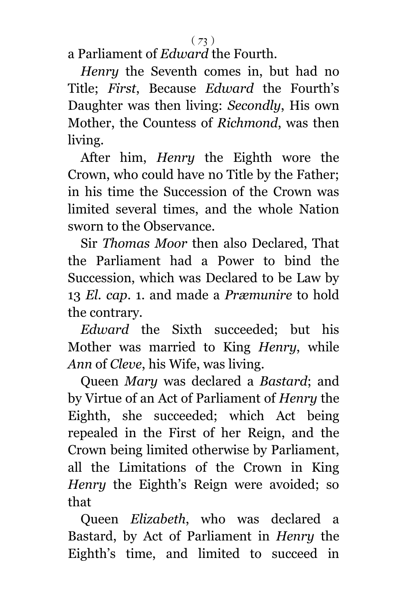a Parliament of *Edward* the Fourth.

*Henry* the Seventh comes in, but had no Title; *First*, Because *Edward* the Fourth's Daughter was then living: *Secondly*, His own Mother, the Countess of *Richmond*, was then living.

After him, *Henry* the Eighth wore the Crown, who could have no Title by the Father; in his time the Succession of the Crown was limited several times, and the whole Nation sworn to the Observance.

Sir *Thomas Moor* then also Declared, That the Parliament had a Power to bind the Succession, which was Declared to be Law by 13 *El. cap*. 1. and made a *Præmunire* to hold the contrary.

*Edward* the Sixth succeeded; but his Mother was married to King *Henry*, while *Ann* of *Cleve*, his Wife, was living.

Queen *Mary* was declared a *Bastard*; and by Virtue of an Act of Parliament of *Henry* the Eighth, she succeeded; which Act being repealed in the First of her Reign, and the Crown being limited otherwise by Parliament, all the Limitations of the Crown in King *Henry* the Eighth's Reign were avoided; so that

Queen *Elizabeth*, who was declared a Bastard, by Act of Parliament in *Henry* the Eighth's time, and limited to succeed in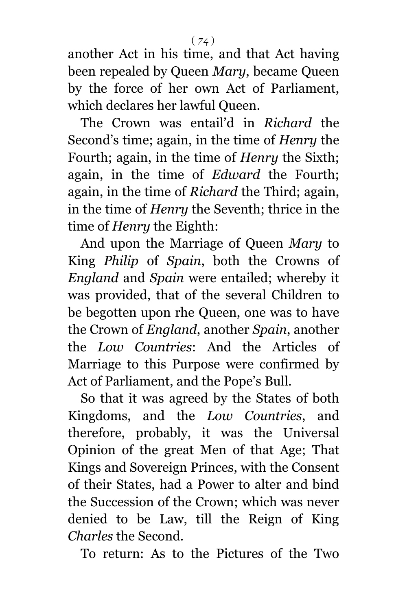another Act in his time, and that Act having been repealed by Queen *Mary*, became Queen by the force of her own Act of Parliament, which declares her lawful Queen.

The Crown was entail'd in *Richard* the Second's time; again, in the time of *Henry* the Fourth; again, in the time of *Henry* the Sixth; again, in the time of *Edward* the Fourth; again, in the time of *Richard* the Third; again, in the time of *Henry* the Seventh; thrice in the time of *Henry* the Eighth:

And upon the Marriage of Queen *Mary* to King *Philip* of *Spain*, both the Crowns of *England* and *Spain* were entailed; whereby it was provided, that of the several Children to be begotten upon rhe Queen, one was to have the Crown of *England*, another *Spain*, another the *Low Countries*: And the Articles of Marriage to this Purpose were confirmed by Act of Parliament, and the Pope's Bull.

So that it was agreed by the States of both Kingdoms, and the *Low Countries*, and therefore, probably, it was the Universal Opinion of the great Men of that Age; That Kings and Sovereign Princes, with the Consent of their States, had a Power to alter and bind the Succession of the Crown; which was never denied to be Law, till the Reign of King *Charles* the Second.

To return: As to the Pictures of the Two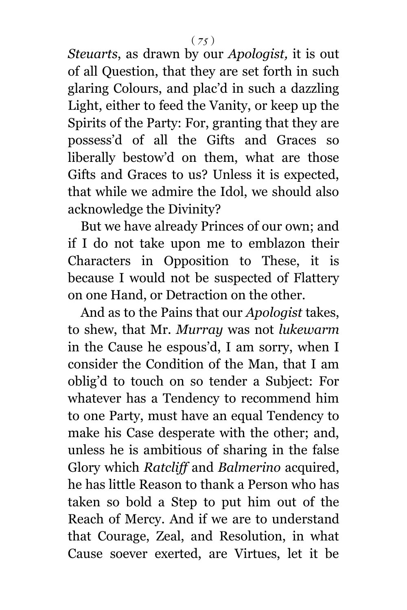*Steuarts*, as drawn by our *Apologist,* it is out of all Question, that they are set forth in such glaring Colours, and plac'd in such a dazzling Light, either to feed the Vanity, or keep up the Spirits of the Party: For, granting that they are possess'd of all the Gifts and Graces so liberally bestow'd on them, what are those Gifts and Graces to us? Unless it is expected, that while we admire the Idol, we should also acknowledge the Divinity?

But we have already Princes of our own; and if I do not take upon me to emblazon their Characters in Opposition to These, it is because I would not be suspected of Flattery on one Hand, or Detraction on the other.

And as to the Pains that our *Apologist* takes, to shew, that Mr. *Murray* was not *lukewarm* in the Cause he espous'd, I am sorry, when I consider the Condition of the Man, that I am oblig'd to touch on so tender a Subject: For whatever has a Tendency to recommend him to one Party, must have an equal Tendency to make his Case desperate with the other; and, unless he is ambitious of sharing in the false Glory which *Ratcliff* and *Balmerino* acquired, he has little Reason to thank a Person who has taken so bold a Step to put him out of the Reach of Mercy. And if we are to understand that Courage, Zeal, and Resolution, in what Cause soever exerted, are Virtues, let it be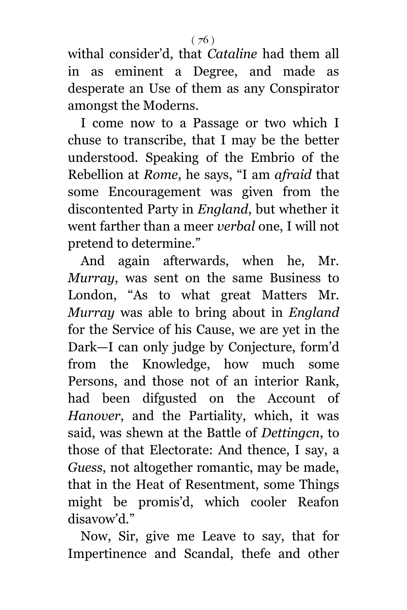withal consider'd, that *Cataline* had them all in as eminent a Degree, and made as desperate an Use of them as any Conspirator amongst the Moderns.

I come now to a Passage or two which I chuse to transcribe, that I may be the better understood. Speaking of the Embrio of the Rebellion at *Rome*, he says, "I am *afraid* that some Encouragement was given from the discontented Party in *England*, but whether it went farther than a meer *verbal* one, I will not pretend to determine."

And again afterwards, when he, Mr. *Murray*, was sent on the same Business to London, "As to what great Matters Mr. *Murray* was able to bring about in *England* for the Service of his Cause, we are yet in the Dark—I can only judge by Conjecture, form'd from the Knowledge, how much some Persons, and those not of an interior Rank, had been difgusted on the Account of *Hanover*, and the Partiality, which, it was said, was shewn at the Battle of *Dettingcn*, to those of that Electorate: And thence, I say, a *Guess*, not altogether romantic, may be made, that in the Heat of Resentment, some Things might be promis'd, which cooler Reafon disavow'd."

Now, Sir, give me Leave to say, that for Impertinence and Scandal, thefe and other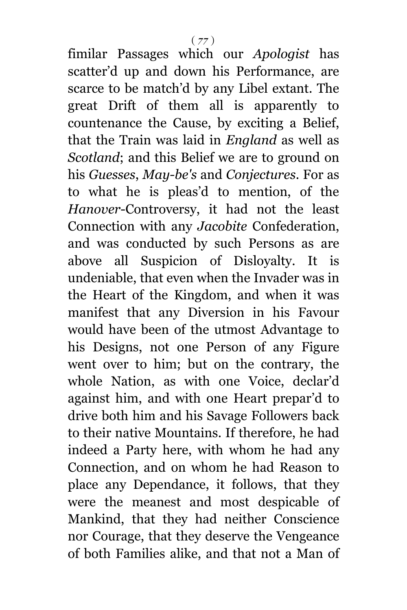fimilar Passages which our *Apologist* has scatter'd up and down his Performance, are scarce to be match'd by any Libel extant. The great Drift of them all is apparently to countenance the Cause, by exciting a Belief, that the Train was laid in *England* as well as *Scotland*; and this Belief we are to ground on his *Guesses*, *May-be's* and *Conjectures*. For as to what he is pleas'd to mention, of the *Hanover*-Controversy, it had not the least Connection with any *Jacobite* Confederation, and was conducted by such Persons as are above all Suspicion of Disloyalty. It is undeniable, that even when the Invader was in the Heart of the Kingdom, and when it was manifest that any Diversion in his Favour would have been of the utmost Advantage to his Designs, not one Person of any Figure went over to him; but on the contrary, the whole Nation, as with one Voice, declar'd against him, and with one Heart prepar'd to drive both him and his Savage Followers back to their native Mountains. If therefore, he had indeed a Party here, with whom he had any Connection, and on whom he had Reason to place any Dependance, it follows, that they were the meanest and most despicable of Mankind, that they had neither Conscience nor Courage, that they deserve the Vengeance of both Families alike, and that not a Man of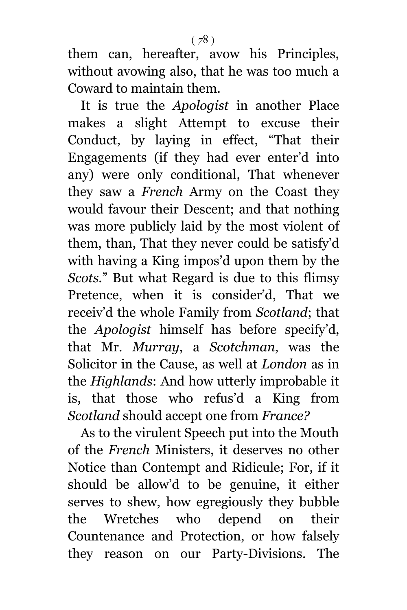them can, hereafter, avow his Principles, without avowing also, that he was too much a Coward to maintain them.

It is true the *Apologist* in another Place makes a slight Attempt to excuse their Conduct, by laying in effect, "That their Engagements (if they had ever enter'd into any) were only conditional, That whenever they saw a *French* Army on the Coast they would favour their Descent; and that nothing was more publicly laid by the most violent of them, than, That they never could be satisfy'd with having a King impos'd upon them by the *Scots.*" But what Regard is due to this flimsy Pretence, when it is consider'd, That we receiv'd the whole Family from *Scotland*; that the *Apologist* himself has before specify'd, that Mr. *Murray*, a *Scotchman*, was the Solicitor in the Cause, as well at *London* as in the *Highlands*: And how utterly improbable it is, that those who refus'd a King from *Scotland* should accept one from *France?*

As to the virulent Speech put into the Mouth of the *French* Ministers, it deserves no other Notice than Contempt and Ridicule; For, if it should be allow'd to be genuine, it either serves to shew, how egregiously they bubble the Wretches who depend on their Countenance and Protection, or how falsely they reason on our Party-Divisions. The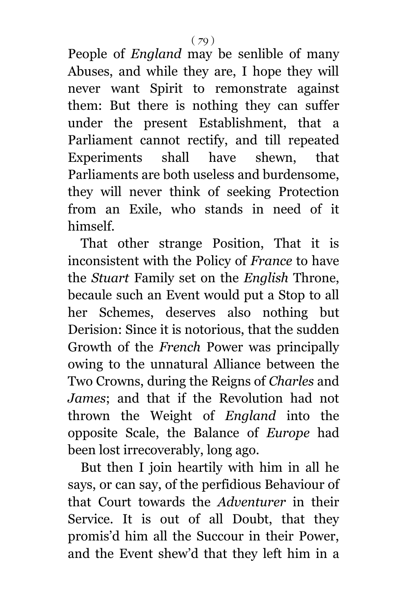People of *England* may be senlible of many Abuses, and while they are, I hope they will never want Spirit to remonstrate against them: But there is nothing they can suffer under the present Establishment, that a Parliament cannot rectify, and till repeated Experiments shall have shewn, that Parliaments are both useless and burdensome, they will never think of seeking Protection from an Exile, who stands in need of it himself.

That other strange Position, That it is inconsistent with the Policy of *France* to have the *Stuart* Family set on the *English* Throne, becaule such an Event would put a Stop to all her Schemes, deserves also nothing but Derision: Since it is notorious, that the sudden Growth of the *French* Power was principally owing to the unnatural Alliance between the Two Crowns, during the Reigns of *Charles* and *James*; and that if the Revolution had not thrown the Weight of *England* into the opposite Scale, the Balance of *Europe* had been lost irrecoverably, long ago.

But then I join heartily with him in all he says, or can say, of the perfidious Behaviour of that Court towards the *Adventurer* in their Service. It is out of all Doubt, that they promis'd him all the Succour in their Power, and the Event shew'd that they left him in a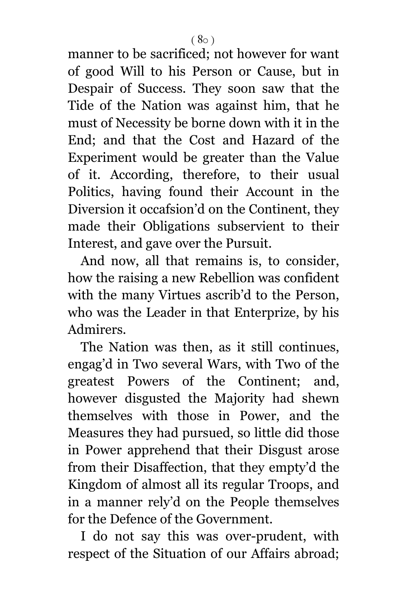manner to be sacrificed; not however for want of good Will to his Person or Cause, but in Despair of Success. They soon saw that the Tide of the Nation was against him, that he must of Necessity be borne down with it in the End; and that the Cost and Hazard of the Experiment would be greater than the Value of it. According, therefore, to their usual Politics, having found their Account in the Diversion it occafsion'd on the Continent, they made their Obligations subservient to their Interest, and gave over the Pursuit.

And now, all that remains is, to consider, how the raising a new Rebellion was confident with the many Virtues ascrib'd to the Person, who was the Leader in that Enterprize, by his Admirers.

The Nation was then, as it still continues, engag'd in Two several Wars, with Two of the greatest Powers of the Continent; and, however disgusted the Majority had shewn themselves with those in Power, and the Measures they had pursued, so little did those in Power apprehend that their Disgust arose from their Disaffection, that they empty'd the Kingdom of almost all its regular Troops, and in a manner rely'd on the People themselves for the Defence of the Government.

I do not say this was over-prudent, with respect of the Situation of our Affairs abroad;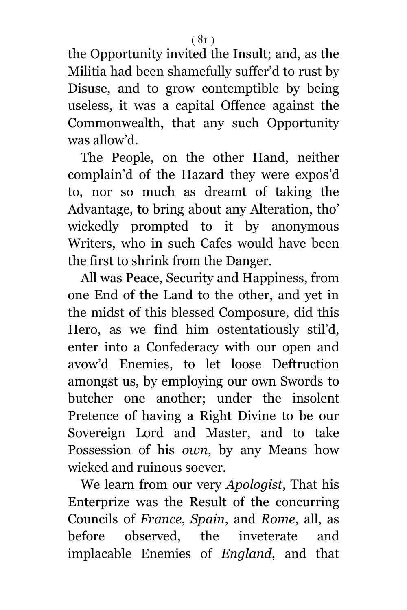the Opportunity invited the Insult; and, as the Militia had been shamefully suffer'd to rust by Disuse, and to grow contemptible by being useless, it was a capital Offence against the Commonwealth, that any such Opportunity was allow'd.

The People, on the other Hand, neither complain'd of the Hazard they were expos'd to, nor so much as dreamt of taking the Advantage, to bring about any Alteration, tho' wickedly prompted to it by anonymous Writers, who in such Cafes would have been the first to shrink from the Danger.

All was Peace, Security and Happiness, from one End of the Land to the other, and yet in the midst of this blessed Composure, did this Hero, as we find him ostentatiously stil'd, enter into a Confederacy with our open and avow'd Enemies, to let loose Deftruction amongst us, by employing our own Swords to butcher one another; under the insolent Pretence of having a Right Divine to be our Sovereign Lord and Master, and to take Possession of his *own*, by any Means how wicked and ruinous soever.

We learn from our very *Apologist*, That his Enterprize was the Result of the concurring Councils of *France*, *Spain*, and *Rome*, all, as before observed, the inveterate and implacable Enemies of *England*, and that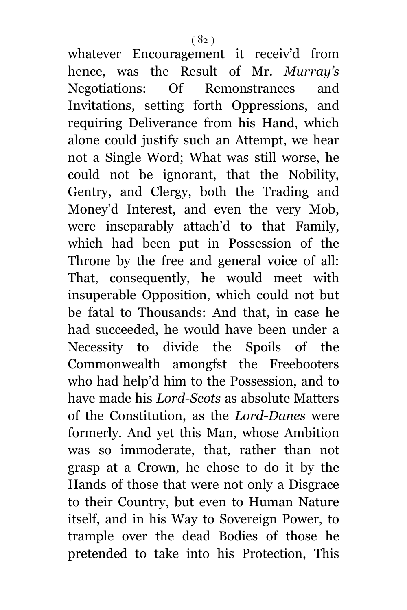whatever Encouragement it receiv'd from hence, was the Result of Mr. *Murray's* Negotiations: Of Remonstrances and Invitations, setting forth Oppressions, and requiring Deliverance from his Hand, which alone could justify such an Attempt, we hear not a Single Word; What was still worse, he could not be ignorant, that the Nobility, Gentry, and Clergy, both the Trading and Money'd Interest, and even the very Mob, were inseparably attach'd to that Family, which had been put in Possession of the Throne by the free and general voice of all: That, consequently, he would meet with insuperable Opposition, which could not but be fatal to Thousands: And that, in case he had succeeded, he would have been under a Necessity to divide the Spoils of the Commonwealth amongfst the Freebooters who had help'd him to the Possession, and to have made his *Lord-Scots* as absolute Matters of the Constitution, as the *Lord-Danes* were formerly. And yet this Man, whose Ambition was so immoderate, that, rather than not grasp at a Crown, he chose to do it by the Hands of those that were not only a Disgrace to their Country, but even to Human Nature itself, and in his Way to Sovereign Power, to trample over the dead Bodies of those he pretended to take into his Protection, This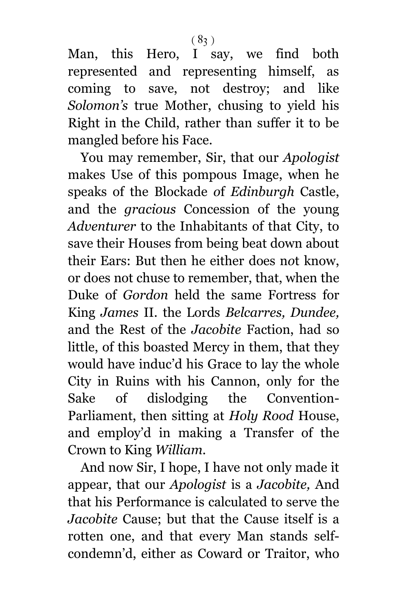Man, this Hero, I say, we find both represented and representing himself, as coming to save, not destroy; and like *Solomon's* true Mother, chusing to yield his Right in the Child, rather than suffer it to be mangled before his Face.

You may remember, Sir, that our *Apologist* makes Use of this pompous Image, when he speaks of the Blockade *o*f *Edinburgh* Castle, and the *gracious* Concession of the young *Adventurer* to the Inhabitants of that City, to save their Houses from being beat down about their Ears: But then he either does n*o*t know, or does not chuse to remember, that, when the Duke of *Gordon* held the same Fortress for King *James* II. the Lords *Belcarres, Dundee,* and the Rest of the *Jacobite* Faction, had so little, of this boasted Mercy in them, that they would have induc'd his Grace to lay the whole City in Ruins with his Cannon, only for the Sake of dislodging the Convention-Parliament, then sitting at *Holy Rood* House, and employ'd in making a Transfer of the Crown to King *William.*

And now Sir, I hope, I have not only made it appear, that our *Apologist* is a *Jacobite,* And that his Performance is calculated to serve the *Jacobite* Cause; but that the Cause itself is a rotten one, and that every Man stands selfcondemn'd, either as Coward or Traitor, who